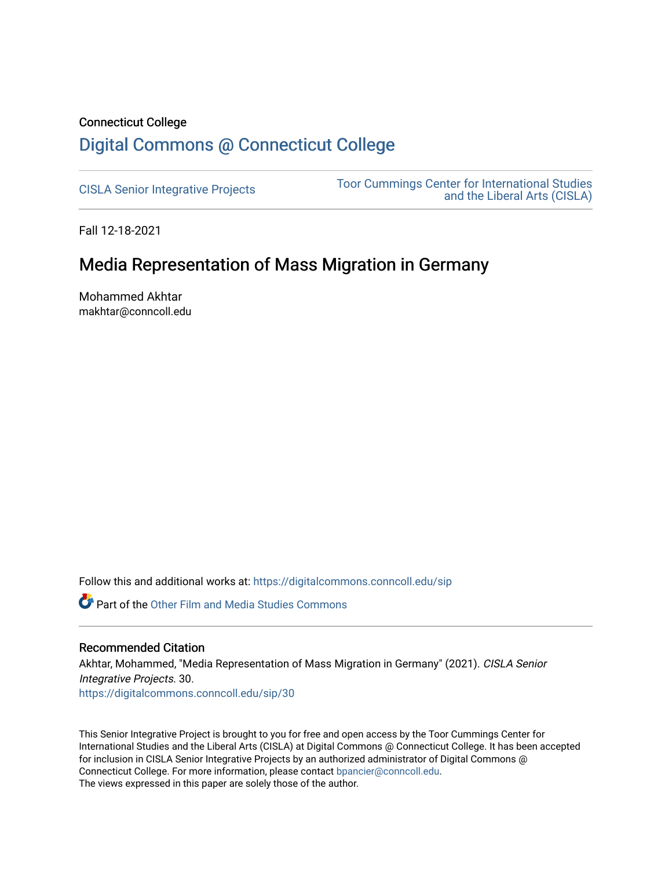## Connecticut College [Digital Commons @ Connecticut College](https://digitalcommons.conncoll.edu/)

[CISLA Senior Integrative Projects](https://digitalcommons.conncoll.edu/sip) [Toor Cummings Center for International Studies](https://digitalcommons.conncoll.edu/cisla)  [and the Liberal Arts \(CISLA\)](https://digitalcommons.conncoll.edu/cisla) 

Fall 12-18-2021

## Media Representation of Mass Migration in Germany

Mohammed Akhtar makhtar@conncoll.edu

Follow this and additional works at: [https://digitalcommons.conncoll.edu/sip](https://digitalcommons.conncoll.edu/sip?utm_source=digitalcommons.conncoll.edu%2Fsip%2F30&utm_medium=PDF&utm_campaign=PDFCoverPages) 

**C** Part of the Other Film and Media Studies Commons

#### Recommended Citation

Akhtar, Mohammed, "Media Representation of Mass Migration in Germany" (2021). CISLA Senior Integrative Projects. 30.

[https://digitalcommons.conncoll.edu/sip/30](https://digitalcommons.conncoll.edu/sip/30?utm_source=digitalcommons.conncoll.edu%2Fsip%2F30&utm_medium=PDF&utm_campaign=PDFCoverPages) 

This Senior Integrative Project is brought to you for free and open access by the Toor Cummings Center for International Studies and the Liberal Arts (CISLA) at Digital Commons @ Connecticut College. It has been accepted for inclusion in CISLA Senior Integrative Projects by an authorized administrator of Digital Commons @ Connecticut College. For more information, please contact [bpancier@conncoll.edu.](mailto:bpancier@conncoll.edu) The views expressed in this paper are solely those of the author.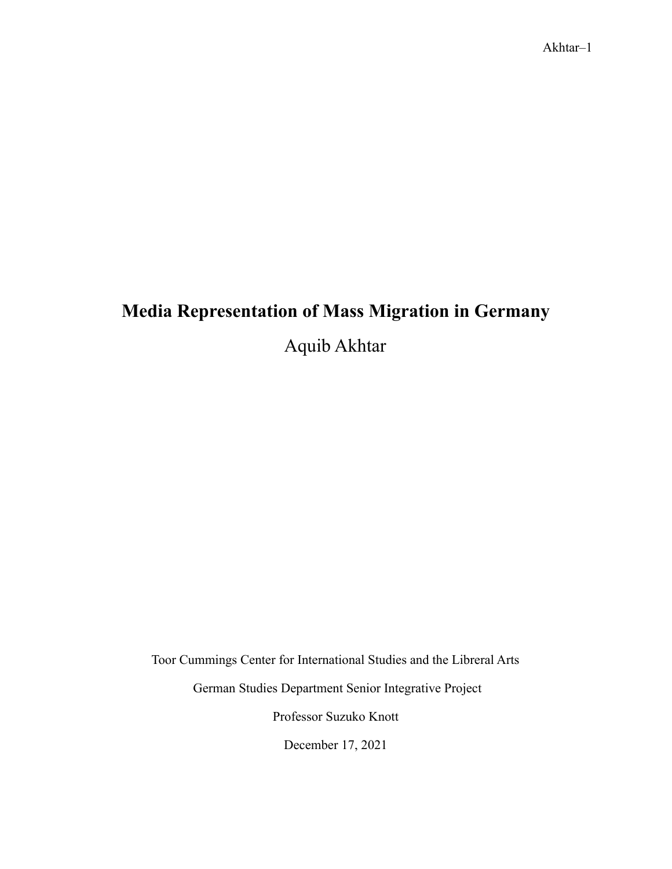# **Media Representation of Mass Migration in Germany**

Aquib Akhtar

Toor Cummings Center for International Studies and the Libreral Arts

German Studies Department Senior Integrative Project

Professor Suzuko Knott

December 17, 2021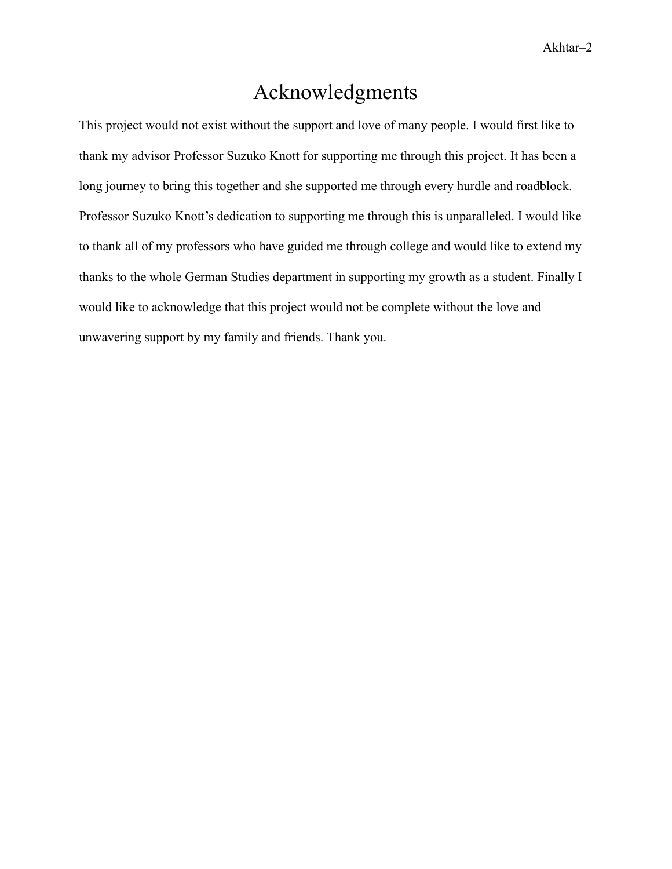# Acknowledgments

<span id="page-2-0"></span>This project would not exist without the support and love of many people. I would first like to thank my advisor Professor Suzuko Knott for supporting me through this project. It has been a long journey to bring this together and she supported me through every hurdle and roadblock. Professor Suzuko Knott's dedication to supporting me through this is unparalleled. I would like to thank all of my professors who have guided me through college and would like to extend my thanks to the whole German Studies department in supporting my growth as a student. Finally I would like to acknowledge that this project would not be complete without the love and unwavering support by my family and friends. Thank you.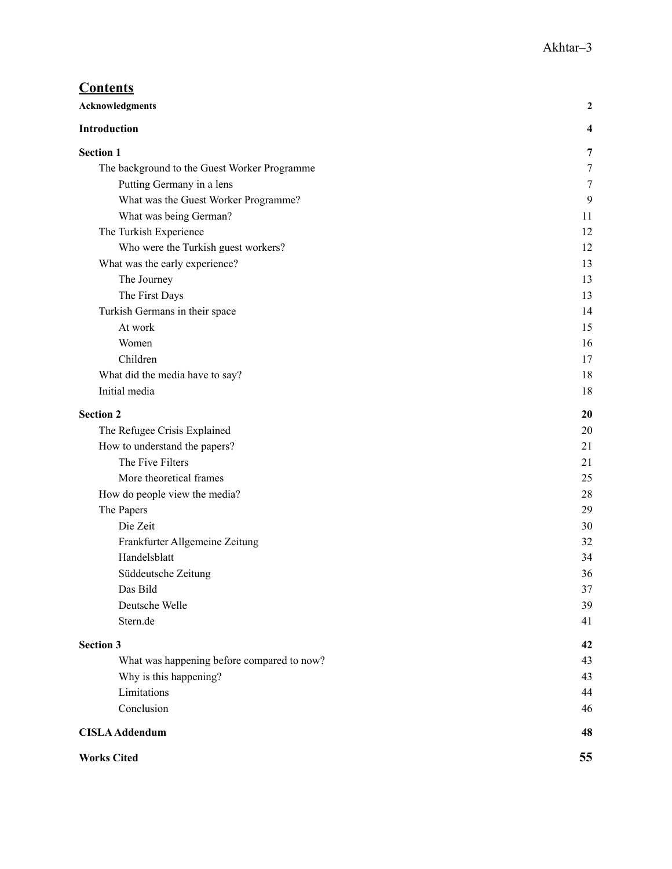| <b>Contents</b>                              |    |
|----------------------------------------------|----|
| <b>Acknowledgments</b>                       | 2  |
| Introduction                                 | 4  |
| <b>Section 1</b>                             | 7  |
| The background to the Guest Worker Programme | 7  |
| Putting Germany in a lens                    | 7  |
| What was the Guest Worker Programme?         | 9  |
| What was being German?                       | 11 |
| The Turkish Experience                       | 12 |
| Who were the Turkish guest workers?          | 12 |
| What was the early experience?               | 13 |
| The Journey                                  | 13 |
| The First Days                               | 13 |
| Turkish Germans in their space               | 14 |
| At work                                      | 15 |
| Women                                        | 16 |
| Children                                     | 17 |
| What did the media have to say?              | 18 |
| Initial media                                | 18 |
| <b>Section 2</b>                             | 20 |
| The Refugee Crisis Explained                 | 20 |
| How to understand the papers?                | 21 |
| The Five Filters                             | 21 |
| More theoretical frames                      | 25 |
| How do people view the media?                | 28 |
| The Papers                                   | 29 |
| Die Zeit                                     | 30 |
| Frankfurter Allgemeine Zeitung               | 32 |
| Handelsblatt                                 | 34 |
| Süddeutsche Zeitung                          | 36 |
| Das Bild                                     | 37 |
| Deutsche Welle                               | 39 |
| Stern.de                                     | 41 |
| <b>Section 3</b>                             | 42 |
| What was happening before compared to now?   | 43 |
| Why is this happening?                       | 43 |
| Limitations                                  | 44 |
| Conclusion                                   | 46 |
| <b>CISLA Addendum</b>                        | 48 |
| <b>Works Cited</b>                           | 55 |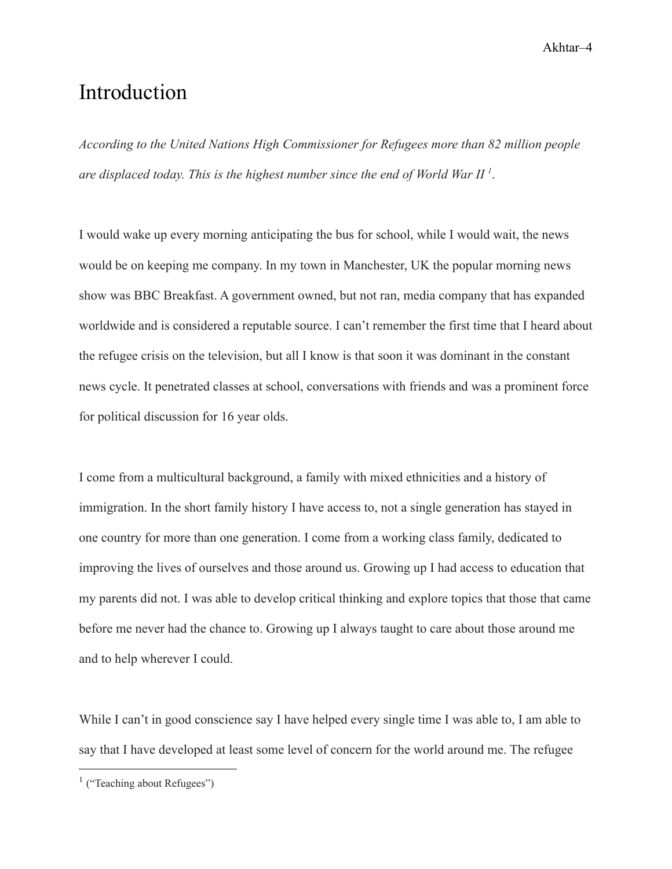# <span id="page-4-0"></span>Introduction

*According to the United Nations High Commissioner for Refugees more than 82 million people are displaced today. This is the highest number since the end of World War II <sup>1</sup>* .

I would wake up every morning anticipating the bus for school, while I would wait, the news would be on keeping me company. In my town in Manchester, UK the popular morning news show was BBC Breakfast. A government owned, but not ran, media company that has expanded worldwide and is considered a reputable source. I can't remember the first time that I heard about the refugee crisis on the television, but all I know is that soon it was dominant in the constant news cycle. It penetrated classes at school, conversations with friends and was a prominent force for political discussion for 16 year olds.

I come from a multicultural background, a family with mixed ethnicities and a history of immigration. In the short family history I have access to, not a single generation has stayed in one country for more than one generation. I come from a working class family, dedicated to improving the lives of ourselves and those around us. Growing up I had access to education that my parents did not. I was able to develop critical thinking and explore topics that those that came before me never had the chance to. Growing up I always taught to care about those around me and to help wherever I could.

While I can't in good conscience say I have helped every single time I was able to, I am able to say that I have developed at least some level of concern for the world around me. The refugee

<sup>&</sup>lt;sup>1</sup> ("Teaching about Refugees")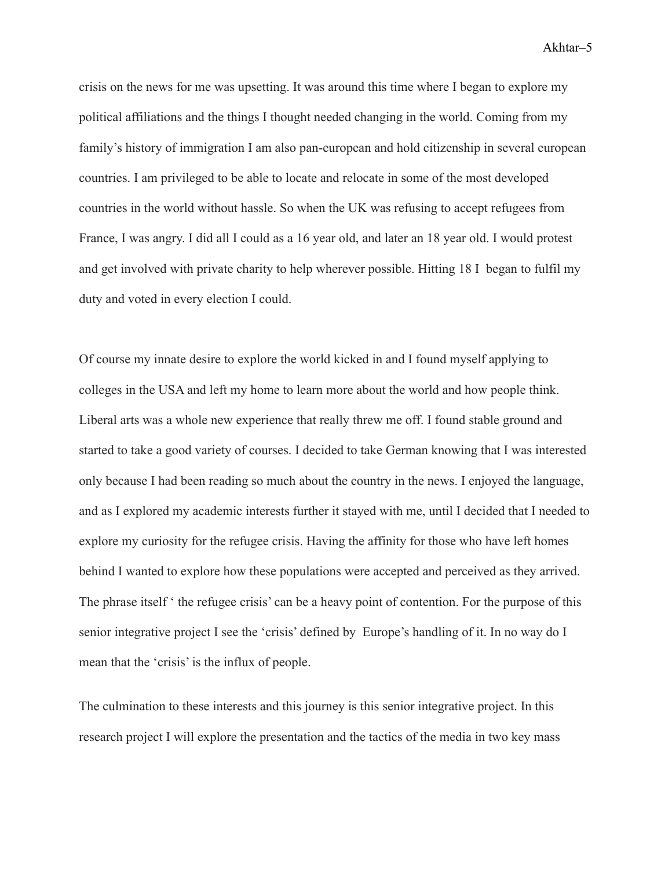crisis on the news for me was upsetting. It was around this time where I began to explore my political affiliations and the things I thought needed changing in the world. Coming from my family's history of immigration I am also pan-european and hold citizenship in several european countries. I am privileged to be able to locate and relocate in some of the most developed countries in the world without hassle. So when the UK was refusing to accept refugees from France, I was angry. I did all I could as a 16 year old, and later an 18 year old. I would protest and get involved with private charity to help wherever possible. Hitting 18 I began to fulfil my duty and voted in every election I could.

Of course my innate desire to explore the world kicked in and I found myself applying to colleges in the USA and left my home to learn more about the world and how people think. Liberal arts was a whole new experience that really threw me off. I found stable ground and started to take a good variety of courses. I decided to take German knowing that I was interested only because I had been reading so much about the country in the news. I enjoyed the language, and as I explored my academic interests further it stayed with me, until I decided that I needed to explore my curiosity for the refugee crisis. Having the affinity for those who have left homes behind I wanted to explore how these populations were accepted and perceived as they arrived. The phrase itself ' the refugee crisis' can be a heavy point of contention. For the purpose of this senior integrative project I see the 'crisis' defined by Europe's handling of it. In no way do I mean that the 'crisis' is the influx of people.

The culmination to these interests and this journey is this senior integrative project. In this research project I will explore the presentation and the tactics of the media in two key mass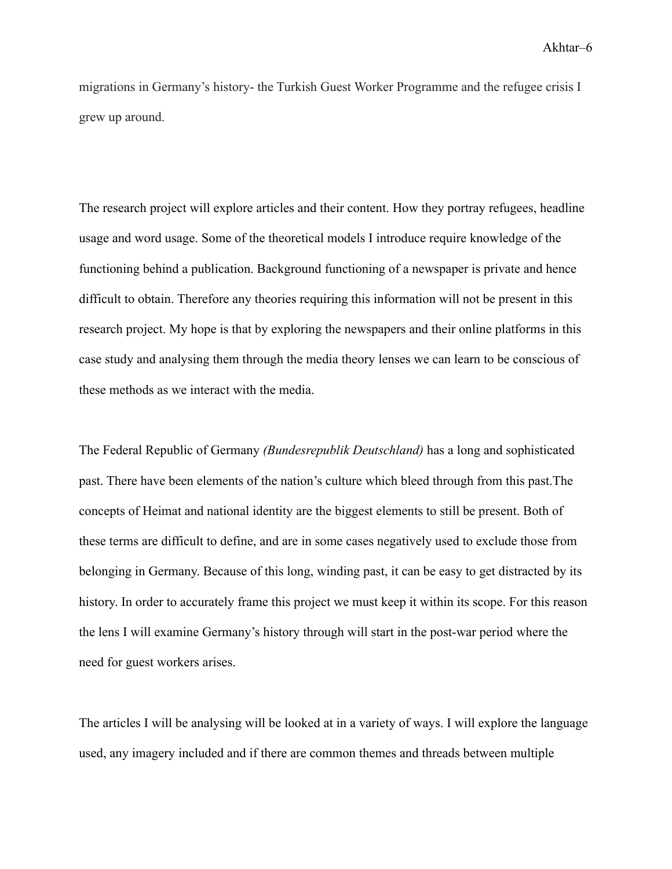migrations in Germany's history- the Turkish Guest Worker Programme and the refugee crisis I grew up around.

The research project will explore articles and their content. How they portray refugees, headline usage and word usage. Some of the theoretical models I introduce require knowledge of the functioning behind a publication. Background functioning of a newspaper is private and hence difficult to obtain. Therefore any theories requiring this information will not be present in this research project. My hope is that by exploring the newspapers and their online platforms in this case study and analysing them through the media theory lenses we can learn to be conscious of these methods as we interact with the media.

The Federal Republic of Germany *(Bundesrepublik Deutschland)* has a long and sophisticated past. There have been elements of the nation's culture which bleed through from this past.The concepts of Heimat and national identity are the biggest elements to still be present. Both of these terms are difficult to define, and are in some cases negatively used to exclude those from belonging in Germany. Because of this long, winding past, it can be easy to get distracted by its history. In order to accurately frame this project we must keep it within its scope. For this reason the lens I will examine Germany's history through will start in the post-war period where the need for guest workers arises.

The articles I will be analysing will be looked at in a variety of ways. I will explore the language used, any imagery included and if there are common themes and threads between multiple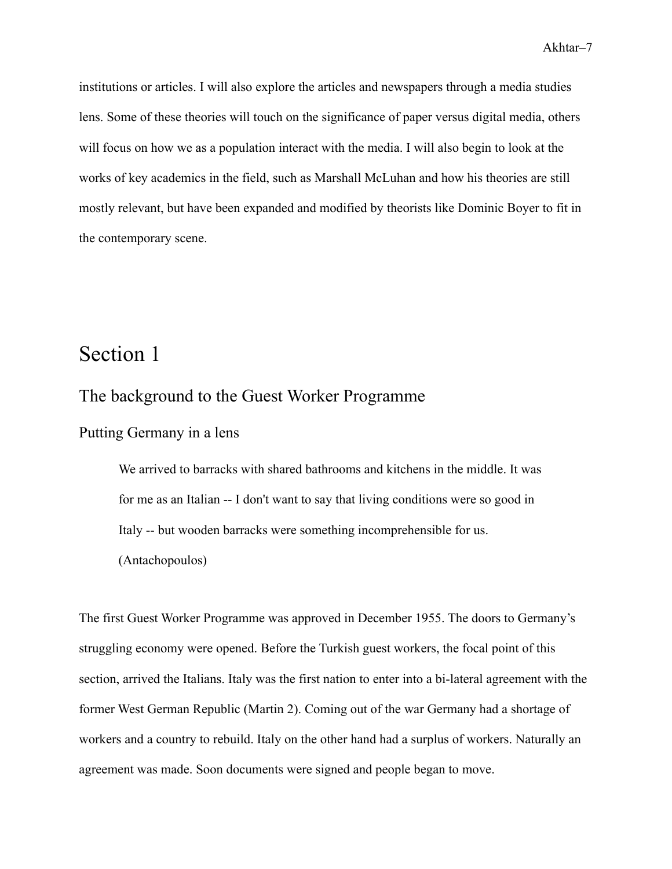institutions or articles. I will also explore the articles and newspapers through a media studies lens. Some of these theories will touch on the significance of paper versus digital media, others will focus on how we as a population interact with the media. I will also begin to look at the works of key academics in the field, such as Marshall McLuhan and how his theories are still mostly relevant, but have been expanded and modified by theorists like Dominic Boyer to fit in the contemporary scene.

# <span id="page-7-0"></span>Section 1

## <span id="page-7-1"></span>The background to the Guest Worker Programme

<span id="page-7-2"></span>Putting Germany in a lens

We arrived to barracks with shared bathrooms and kitchens in the middle. It was for me as an Italian -- I don't want to say that living conditions were so good in Italy -- but wooden barracks were something incomprehensible for us. (Antachopoulos)

The first Guest Worker Programme was approved in December 1955. The doors to Germany's struggling economy were opened. Before the Turkish guest workers, the focal point of this section, arrived the Italians. Italy was the first nation to enter into a bi-lateral agreement with the former West German Republic (Martin 2). Coming out of the war Germany had a shortage of workers and a country to rebuild. Italy on the other hand had a surplus of workers. Naturally an agreement was made. Soon documents were signed and people began to move.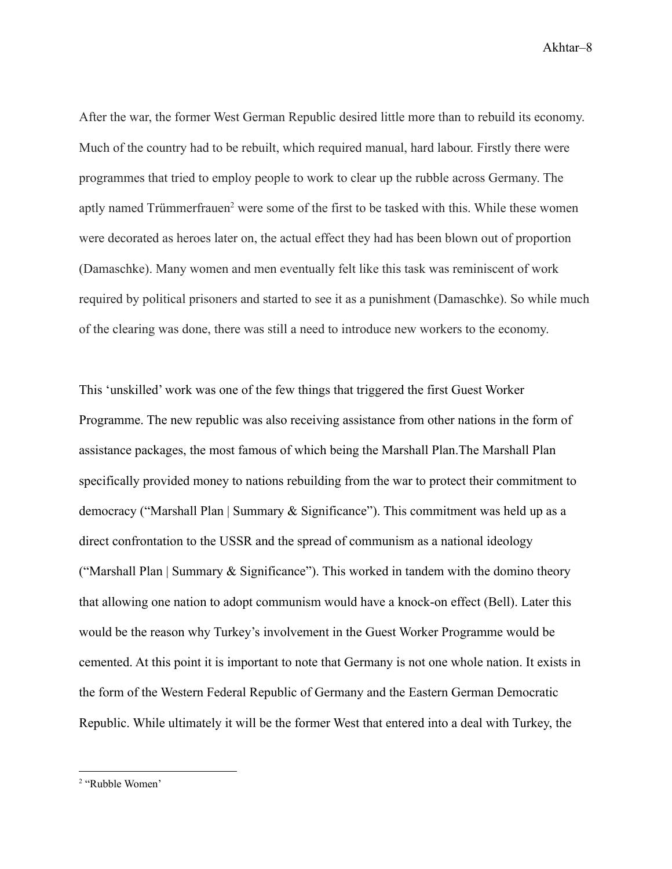After the war, the former West German Republic desired little more than to rebuild its economy. Much of the country had to be rebuilt, which required manual, hard labour. Firstly there were programmes that tried to employ people to work to clear up the rubble across Germany. The aptly named Trümmerfrauen<sup>2</sup> were some of the first to be tasked with this. While these women were decorated as heroes later on, the actual effect they had has been blown out of proportion (Damaschke). Many women and men eventually felt like this task was reminiscent of work required by political prisoners and started to see it as a punishment (Damaschke). So while much of the clearing was done, there was still a need to introduce new workers to the economy.

This 'unskilled' work was one of the few things that triggered the first Guest Worker Programme. The new republic was also receiving assistance from other nations in the form of assistance packages, the most famous of which being the Marshall Plan.The Marshall Plan specifically provided money to nations rebuilding from the war to protect their commitment to democracy ("Marshall Plan | Summary & Significance"). This commitment was held up as a direct confrontation to the USSR and the spread of communism as a national ideology ("Marshall Plan | Summary  $\&$  Significance"). This worked in tandem with the domino theory that allowing one nation to adopt communism would have a knock-on effect (Bell). Later this would be the reason why Turkey's involvement in the Guest Worker Programme would be cemented. At this point it is important to note that Germany is not one whole nation. It exists in the form of the Western Federal Republic of Germany and the Eastern German Democratic Republic. While ultimately it will be the former West that entered into a deal with Turkey, the

<sup>2</sup> "Rubble Women'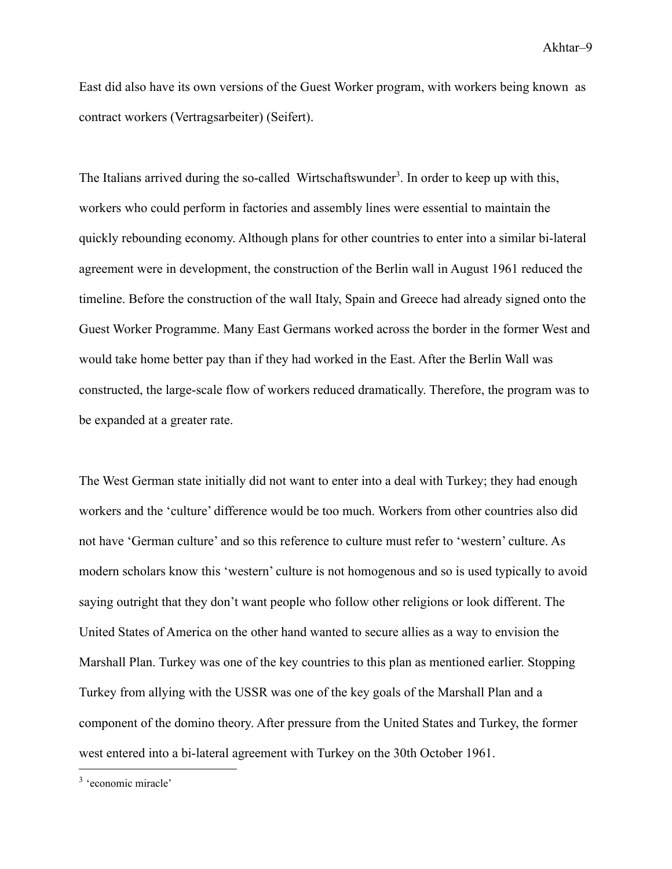East did also have its own versions of the Guest Worker program, with workers being known as contract workers (Vertragsarbeiter) (Seifert).

The Italians arrived during the so-called Wirtschaftswunder<sup>3</sup>. In order to keep up with this, workers who could perform in factories and assembly lines were essential to maintain the quickly rebounding economy. Although plans for other countries to enter into a similar bi-lateral agreement were in development, the construction of the Berlin wall in August 1961 reduced the timeline. Before the construction of the wall Italy, Spain and Greece had already signed onto the Guest Worker Programme. Many East Germans worked across the border in the former West and would take home better pay than if they had worked in the East. After the Berlin Wall was constructed, the large-scale flow of workers reduced dramatically. Therefore, the program was to be expanded at a greater rate.

The West German state initially did not want to enter into a deal with Turkey; they had enough workers and the 'culture' difference would be too much. Workers from other countries also did not have 'German culture' and so this reference to culture must refer to 'western' culture. As modern scholars know this 'western' culture is not homogenous and so is used typically to avoid saying outright that they don't want people who follow other religions or look different. The United States of America on the other hand wanted to secure allies as a way to envision the Marshall Plan. Turkey was one of the key countries to this plan as mentioned earlier. Stopping Turkey from allying with the USSR was one of the key goals of the Marshall Plan and a component of the domino theory. After pressure from the United States and Turkey, the former west entered into a bi-lateral agreement with Turkey on the 30th October 1961.

<sup>3</sup> 'economic miracle'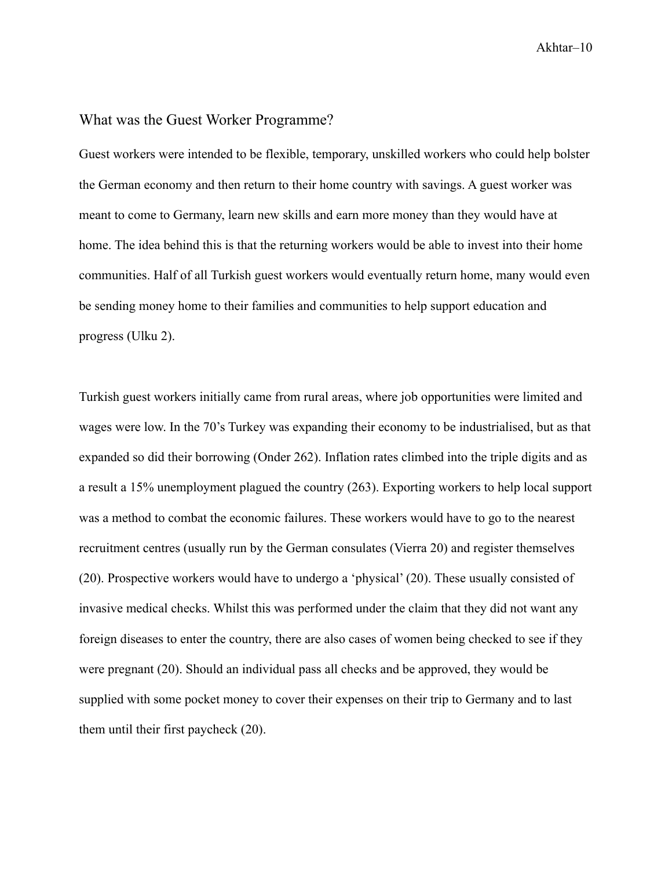#### <span id="page-10-0"></span>What was the Guest Worker Programme?

Guest workers were intended to be flexible, temporary, unskilled workers who could help bolster the German economy and then return to their home country with savings. A guest worker was meant to come to Germany, learn new skills and earn more money than they would have at home. The idea behind this is that the returning workers would be able to invest into their home communities. Half of all Turkish guest workers would eventually return home, many would even be sending money home to their families and communities to help support education and progress (Ulku 2).

Turkish guest workers initially came from rural areas, where job opportunities were limited and wages were low. In the 70's Turkey was expanding their economy to be industrialised, but as that expanded so did their borrowing (Onder 262). Inflation rates climbed into the triple digits and as a result a 15% unemployment plagued the country (263). Exporting workers to help local support was a method to combat the economic failures. These workers would have to go to the nearest recruitment centres (usually run by the German consulates (Vierra 20) and register themselves (20). Prospective workers would have to undergo a 'physical' (20). These usually consisted of invasive medical checks. Whilst this was performed under the claim that they did not want any foreign diseases to enter the country, there are also cases of women being checked to see if they were pregnant (20). Should an individual pass all checks and be approved, they would be supplied with some pocket money to cover their expenses on their trip to Germany and to last them until their first paycheck (20).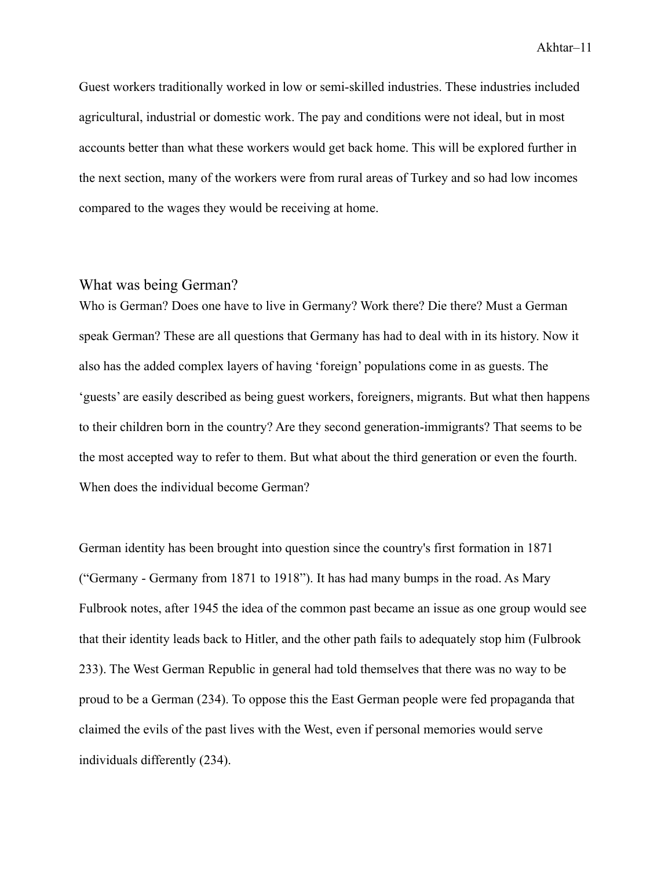Guest workers traditionally worked in low or semi-skilled industries. These industries included agricultural, industrial or domestic work. The pay and conditions were not ideal, but in most accounts better than what these workers would get back home. This will be explored further in the next section, many of the workers were from rural areas of Turkey and so had low incomes compared to the wages they would be receiving at home.

#### <span id="page-11-0"></span>What was being German?

Who is German? Does one have to live in Germany? Work there? Die there? Must a German speak German? These are all questions that Germany has had to deal with in its history. Now it also has the added complex layers of having 'foreign' populations come in as guests. The 'guests' are easily described as being guest workers, foreigners, migrants. But what then happens to their children born in the country? Are they second generation-immigrants? That seems to be the most accepted way to refer to them. But what about the third generation or even the fourth. When does the individual become German?

German identity has been brought into question since the country's first formation in 1871 ("Germany - Germany from 1871 to 1918"). It has had many bumps in the road. As Mary Fulbrook notes, after 1945 the idea of the common past became an issue as one group would see that their identity leads back to Hitler, and the other path fails to adequately stop him (Fulbrook 233). The West German Republic in general had told themselves that there was no way to be proud to be a German (234). To oppose this the East German people were fed propaganda that claimed the evils of the past lives with the West, even if personal memories would serve individuals differently (234).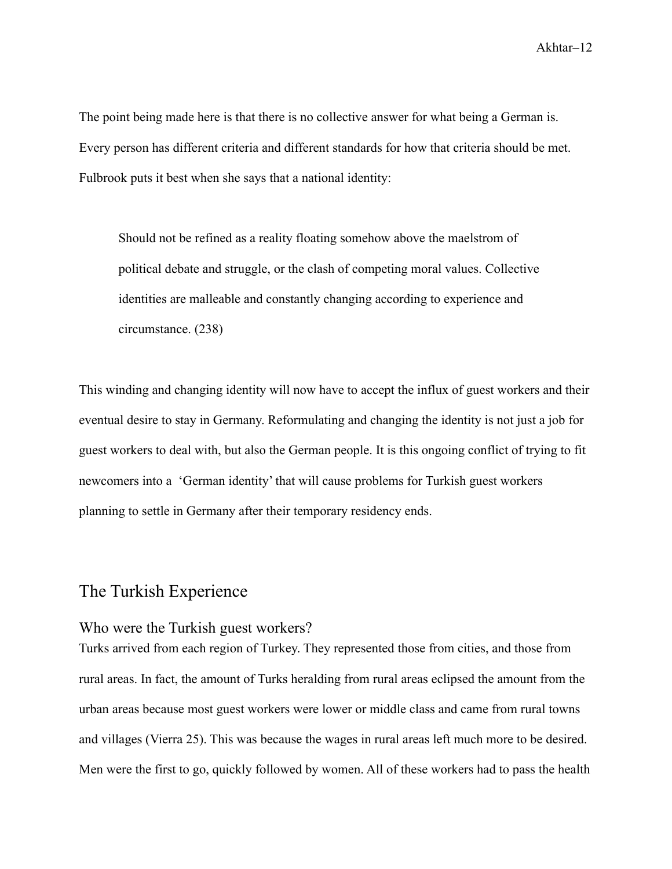The point being made here is that there is no collective answer for what being a German is. Every person has different criteria and different standards for how that criteria should be met. Fulbrook puts it best when she says that a national identity:

Should not be refined as a reality floating somehow above the maelstrom of political debate and struggle, or the clash of competing moral values. Collective identities are malleable and constantly changing according to experience and circumstance. (238)

This winding and changing identity will now have to accept the influx of guest workers and their eventual desire to stay in Germany. Reformulating and changing the identity is not just a job for guest workers to deal with, but also the German people. It is this ongoing conflict of trying to fit newcomers into a 'German identity' that will cause problems for Turkish guest workers planning to settle in Germany after their temporary residency ends.

## <span id="page-12-0"></span>The Turkish Experience

#### <span id="page-12-1"></span>Who were the Turkish guest workers?

Turks arrived from each region of Turkey. They represented those from cities, and those from rural areas. In fact, the amount of Turks heralding from rural areas eclipsed the amount from the urban areas because most guest workers were lower or middle class and came from rural towns and villages (Vierra 25). This was because the wages in rural areas left much more to be desired. Men were the first to go, quickly followed by women. All of these workers had to pass the health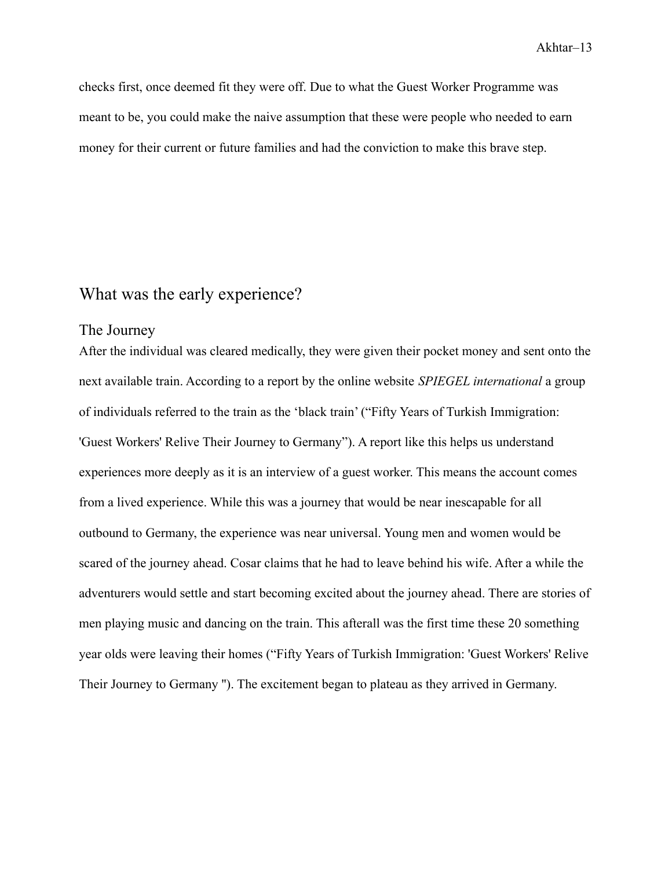checks first, once deemed fit they were off. Due to what the Guest Worker Programme was meant to be, you could make the naive assumption that these were people who needed to earn money for their current or future families and had the conviction to make this brave step.

## <span id="page-13-0"></span>What was the early experience?

#### <span id="page-13-1"></span>The Journey

After the individual was cleared medically, they were given their pocket money and sent onto the next available train. According to a report by the online website *SPIEGEL international* a group of individuals referred to the train as the 'black train' ("Fifty Years of Turkish Immigration: 'Guest Workers' Relive Their Journey to Germany"). A report like this helps us understand experiences more deeply as it is an interview of a guest worker. This means the account comes from a lived experience. While this was a journey that would be near inescapable for all outbound to Germany, the experience was near universal. Young men and women would be scared of the journey ahead. Cosar claims that he had to leave behind his wife. After a while the adventurers would settle and start becoming excited about the journey ahead. There are stories of men playing music and dancing on the train. This afterall was the first time these 20 something year olds were leaving their homes ("Fifty Years of Turkish Immigration: 'Guest Workers' Relive Their Journey to Germany ''). The excitement began to plateau as they arrived in Germany.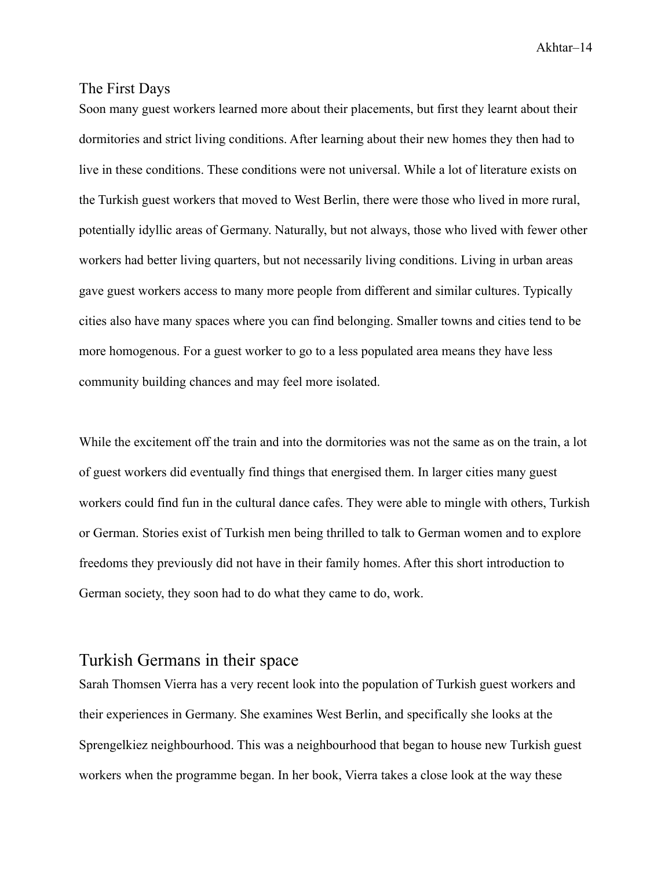#### <span id="page-14-0"></span>The First Days

Soon many guest workers learned more about their placements, but first they learnt about their dormitories and strict living conditions. After learning about their new homes they then had to live in these conditions. These conditions were not universal. While a lot of literature exists on the Turkish guest workers that moved to West Berlin, there were those who lived in more rural, potentially idyllic areas of Germany. Naturally, but not always, those who lived with fewer other workers had better living quarters, but not necessarily living conditions. Living in urban areas gave guest workers access to many more people from different and similar cultures. Typically cities also have many spaces where you can find belonging. Smaller towns and cities tend to be more homogenous. For a guest worker to go to a less populated area means they have less community building chances and may feel more isolated.

While the excitement off the train and into the dormitories was not the same as on the train, a lot of guest workers did eventually find things that energised them. In larger cities many guest workers could find fun in the cultural dance cafes. They were able to mingle with others, Turkish or German. Stories exist of Turkish men being thrilled to talk to German women and to explore freedoms they previously did not have in their family homes. After this short introduction to German society, they soon had to do what they came to do, work.

## <span id="page-14-1"></span>Turkish Germans in their space

Sarah Thomsen Vierra has a very recent look into the population of Turkish guest workers and their experiences in Germany. She examines West Berlin, and specifically she looks at the Sprengelkiez neighbourhood. This was a neighbourhood that began to house new Turkish guest workers when the programme began. In her book, Vierra takes a close look at the way these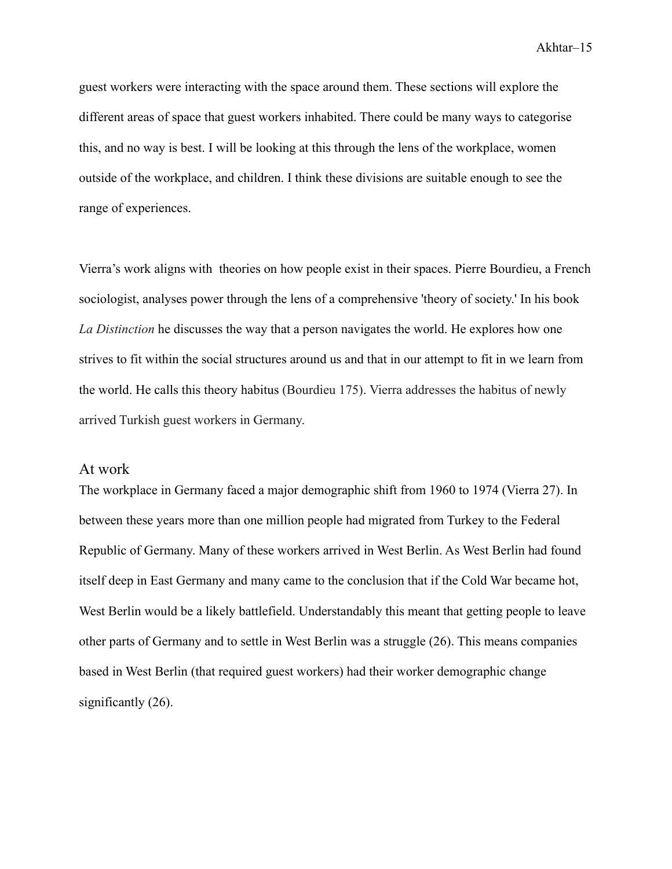guest workers were interacting with the space around them. These sections will explore the different areas of space that guest workers inhabited. There could be many ways to categorise this, and no way is best. I will be looking at this through the lens of the workplace, women outside of the workplace, and children. I think these divisions are suitable enough to see the range of experiences.

Vierra's work aligns with theories on how people exist in their spaces. Pierre Bourdieu, a French sociologist, analyses power through the lens of a comprehensive 'theory of society.' In his book *La Distinction* he discusses the way that a person navigates the world. He explores how one strives to fit within the social structures around us and that in our attempt to fit in we learn from the world. He calls this theory habitus (Bourdieu 175). Vierra addresses the habitus of newly arrived Turkish guest workers in Germany.

#### <span id="page-15-0"></span>At work

The workplace in Germany faced a major demographic shift from 1960 to 1974 (Vierra 27). In between these years more than one million people had migrated from Turkey to the Federal Republic of Germany. Many of these workers arrived in West Berlin. As West Berlin had found itself deep in East Germany and many came to the conclusion that if the Cold War became hot, West Berlin would be a likely battlefield. Understandably this meant that getting people to leave other parts of Germany and to settle in West Berlin was a struggle (26). This means companies based in West Berlin (that required guest workers) had their worker demographic change significantly  $(26)$ .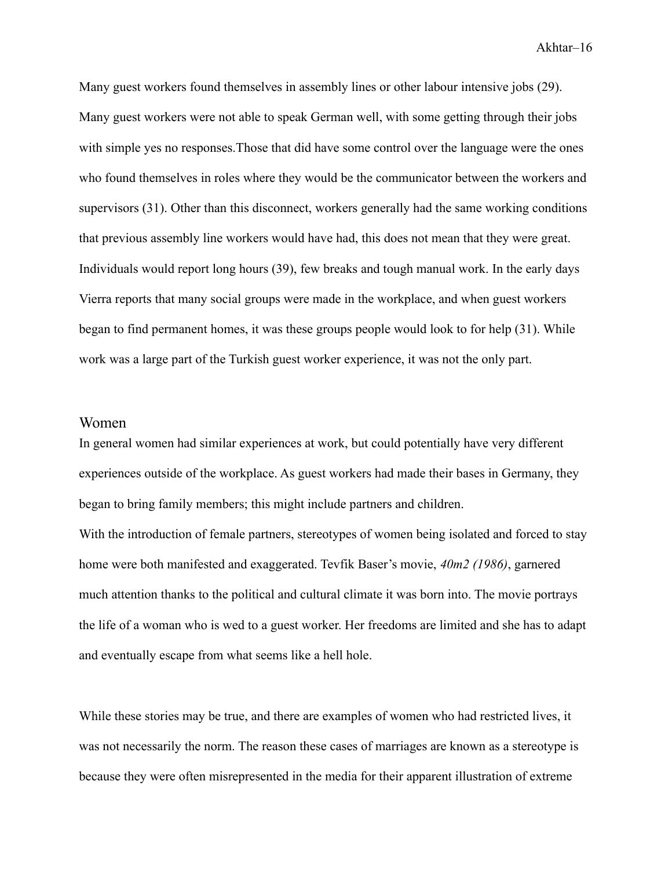Many guest workers found themselves in assembly lines or other labour intensive jobs (29). Many guest workers were not able to speak German well, with some getting through their jobs with simple yes no responses.Those that did have some control over the language were the ones who found themselves in roles where they would be the communicator between the workers and supervisors (31). Other than this disconnect, workers generally had the same working conditions that previous assembly line workers would have had, this does not mean that they were great. Individuals would report long hours (39), few breaks and tough manual work. In the early days Vierra reports that many social groups were made in the workplace, and when guest workers began to find permanent homes, it was these groups people would look to for help (31). While work was a large part of the Turkish guest worker experience, it was not the only part.

#### <span id="page-16-0"></span>Women

In general women had similar experiences at work, but could potentially have very different experiences outside of the workplace. As guest workers had made their bases in Germany, they began to bring family members; this might include partners and children. With the introduction of female partners, stereotypes of women being isolated and forced to stay home were both manifested and exaggerated. Tevfik Baser's movie, *40m2 (1986)*, garnered much attention thanks to the political and cultural climate it was born into. The movie portrays the life of a woman who is wed to a guest worker. Her freedoms are limited and she has to adapt and eventually escape from what seems like a hell hole.

While these stories may be true, and there are examples of women who had restricted lives, it was not necessarily the norm. The reason these cases of marriages are known as a stereotype is because they were often misrepresented in the media for their apparent illustration of extreme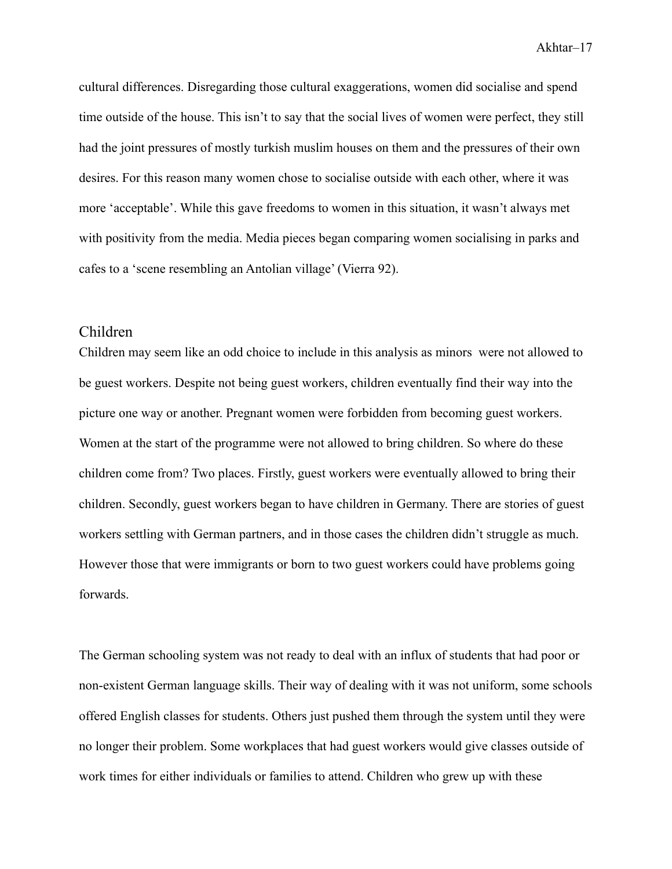cultural differences. Disregarding those cultural exaggerations, women did socialise and spend time outside of the house. This isn't to say that the social lives of women were perfect, they still had the joint pressures of mostly turkish muslim houses on them and the pressures of their own desires. For this reason many women chose to socialise outside with each other, where it was more 'acceptable'. While this gave freedoms to women in this situation, it wasn't always met with positivity from the media. Media pieces began comparing women socialising in parks and cafes to a 'scene resembling an Antolian village' (Vierra 92).

#### <span id="page-17-0"></span>Children

Children may seem like an odd choice to include in this analysis as minors were not allowed to be guest workers. Despite not being guest workers, children eventually find their way into the picture one way or another. Pregnant women were forbidden from becoming guest workers. Women at the start of the programme were not allowed to bring children. So where do these children come from? Two places. Firstly, guest workers were eventually allowed to bring their children. Secondly, guest workers began to have children in Germany. There are stories of guest workers settling with German partners, and in those cases the children didn't struggle as much. However those that were immigrants or born to two guest workers could have problems going forwards.

The German schooling system was not ready to deal with an influx of students that had poor or non-existent German language skills. Their way of dealing with it was not uniform, some schools offered English classes for students. Others just pushed them through the system until they were no longer their problem. Some workplaces that had guest workers would give classes outside of work times for either individuals or families to attend. Children who grew up with these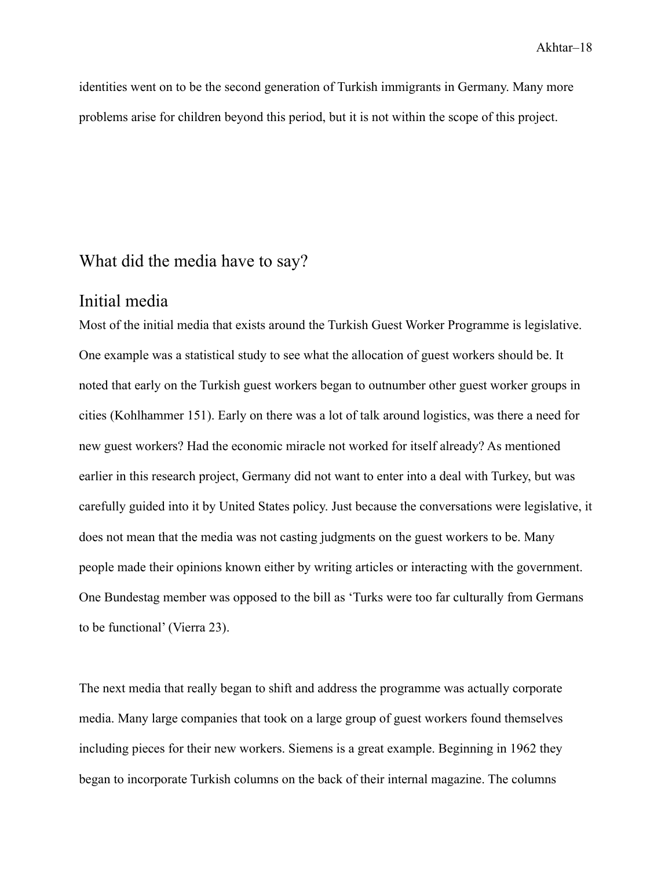identities went on to be the second generation of Turkish immigrants in Germany. Many more problems arise for children beyond this period, but it is not within the scope of this project.

## <span id="page-18-0"></span>What did the media have to say?

### <span id="page-18-1"></span>Initial media

Most of the initial media that exists around the Turkish Guest Worker Programme is legislative. One example was a statistical study to see what the allocation of guest workers should be. It noted that early on the Turkish guest workers began to outnumber other guest worker groups in cities (Kohlhammer 151). Early on there was a lot of talk around logistics, was there a need for new guest workers? Had the economic miracle not worked for itself already? As mentioned earlier in this research project, Germany did not want to enter into a deal with Turkey, but was carefully guided into it by United States policy. Just because the conversations were legislative, it does not mean that the media was not casting judgments on the guest workers to be. Many people made their opinions known either by writing articles or interacting with the government. One Bundestag member was opposed to the bill as 'Turks were too far culturally from Germans to be functional' (Vierra 23).

The next media that really began to shift and address the programme was actually corporate media. Many large companies that took on a large group of guest workers found themselves including pieces for their new workers. Siemens is a great example. Beginning in 1962 they began to incorporate Turkish columns on the back of their internal magazine. The columns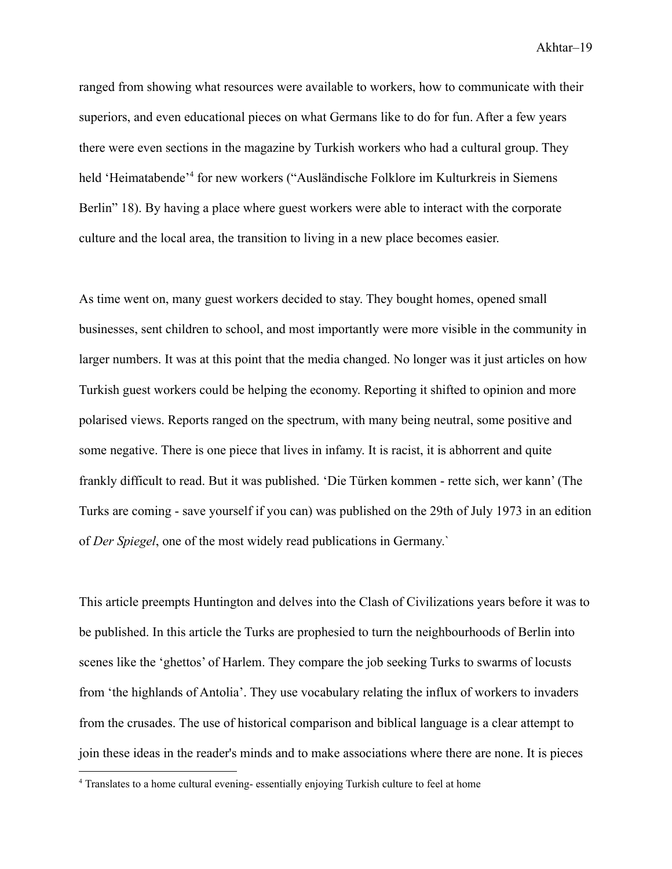ranged from showing what resources were available to workers, how to communicate with their superiors, and even educational pieces on what Germans like to do for fun. After a few years there were even sections in the magazine by Turkish workers who had a cultural group. They held 'Heimatabende'<sup>4</sup> for new workers ("Ausländische Folklore im Kulturkreis in Siemens Berlin" 18). By having a place where guest workers were able to interact with the corporate culture and the local area, the transition to living in a new place becomes easier.

As time went on, many guest workers decided to stay. They bought homes, opened small businesses, sent children to school, and most importantly were more visible in the community in larger numbers. It was at this point that the media changed. No longer was it just articles on how Turkish guest workers could be helping the economy. Reporting it shifted to opinion and more polarised views. Reports ranged on the spectrum, with many being neutral, some positive and some negative. There is one piece that lives in infamy. It is racist, it is abhorrent and quite frankly difficult to read. But it was published. 'Die Türken kommen - rette sich, wer kann' (The Turks are coming - save yourself if you can) was published on the 29th of July 1973 in an edition of *Der Spiegel*, one of the most widely read publications in Germany.`

This article preempts Huntington and delves into the Clash of Civilizations years before it was to be published. In this article the Turks are prophesied to turn the neighbourhoods of Berlin into scenes like the 'ghettos' of Harlem. They compare the job seeking Turks to swarms of locusts from 'the highlands of Antolia'. They use vocabulary relating the influx of workers to invaders from the crusades. The use of historical comparison and biblical language is a clear attempt to join these ideas in the reader's minds and to make associations where there are none. It is pieces

<sup>4</sup> Translates to a home cultural evening- essentially enjoying Turkish culture to feel at home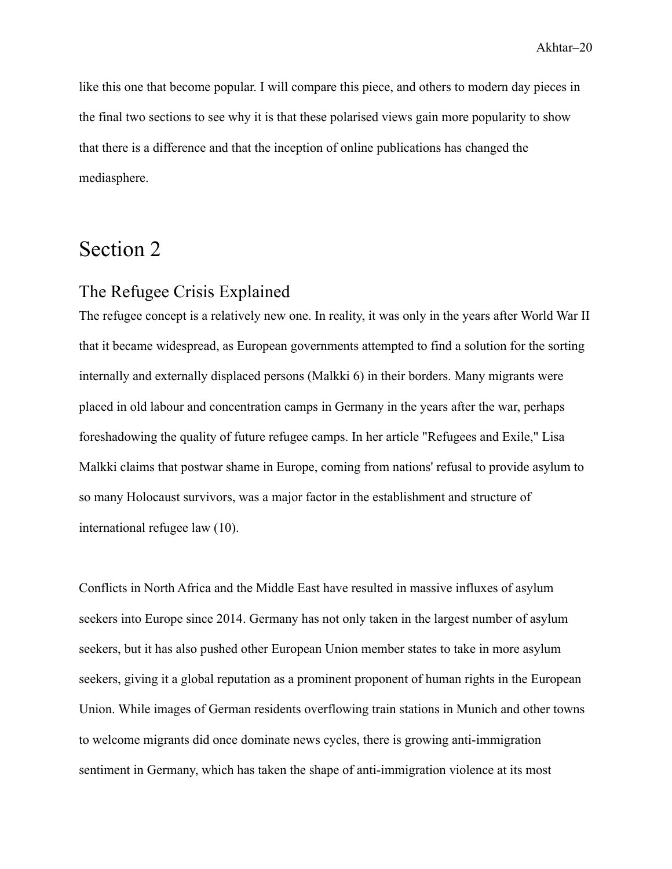like this one that become popular. I will compare this piece, and others to modern day pieces in the final two sections to see why it is that these polarised views gain more popularity to show that there is a difference and that the inception of online publications has changed the mediasphere.

# <span id="page-20-0"></span>Section 2

## <span id="page-20-1"></span>The Refugee Crisis Explained

The refugee concept is a relatively new one. In reality, it was only in the years after World War II that it became widespread, as European governments attempted to find a solution for the sorting internally and externally displaced persons (Malkki 6) in their borders. Many migrants were placed in old labour and concentration camps in Germany in the years after the war, perhaps foreshadowing the quality of future refugee camps. In her article "Refugees and Exile," Lisa Malkki claims that postwar shame in Europe, coming from nations' refusal to provide asylum to so many Holocaust survivors, was a major factor in the establishment and structure of international refugee law (10).

Conflicts in North Africa and the Middle East have resulted in massive influxes of asylum seekers into Europe since 2014. Germany has not only taken in the largest number of asylum seekers, but it has also pushed other European Union member states to take in more asylum seekers, giving it a global reputation as a prominent proponent of human rights in the European Union. While images of German residents overflowing train stations in Munich and other towns to welcome migrants did once dominate news cycles, there is growing anti-immigration sentiment in Germany, which has taken the shape of anti-immigration violence at its most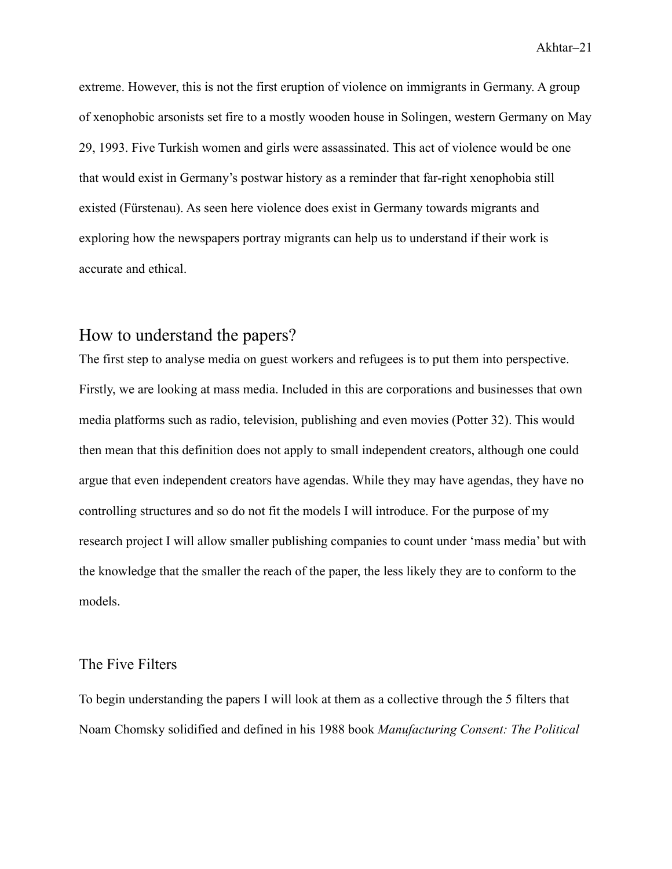extreme. However, this is not the first eruption of violence on immigrants in Germany. A group of xenophobic arsonists set fire to a mostly wooden house in Solingen, western Germany on May 29, 1993. Five Turkish women and girls were assassinated. This act of violence would be one that would exist in Germany's postwar history as a reminder that far-right xenophobia still existed (Fürstenau). As seen here violence does exist in Germany towards migrants and exploring how the newspapers portray migrants can help us to understand if their work is accurate and ethical.

## <span id="page-21-0"></span>How to understand the papers?

The first step to analyse media on guest workers and refugees is to put them into perspective. Firstly, we are looking at mass media. Included in this are corporations and businesses that own media platforms such as radio, television, publishing and even movies (Potter 32). This would then mean that this definition does not apply to small independent creators, although one could argue that even independent creators have agendas. While they may have agendas, they have no controlling structures and so do not fit the models I will introduce. For the purpose of my research project I will allow smaller publishing companies to count under 'mass media' but with the knowledge that the smaller the reach of the paper, the less likely they are to conform to the models.

#### <span id="page-21-1"></span>The Five Filters

To begin understanding the papers I will look at them as a collective through the 5 filters that Noam Chomsky solidified and defined in his 1988 book *Manufacturing Consent: The Political*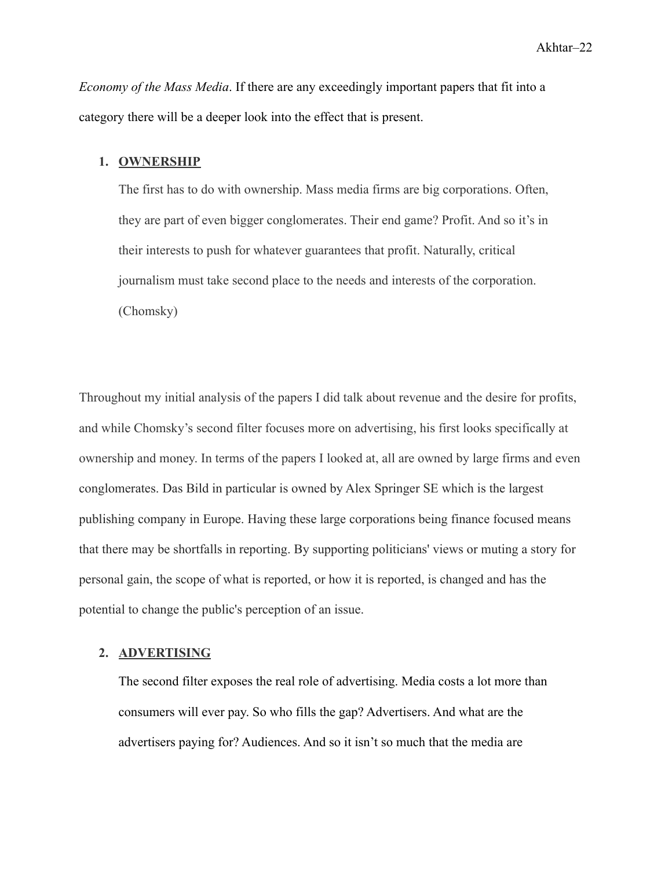*Economy of the Mass Media*. If there are any exceedingly important papers that fit into a category there will be a deeper look into the effect that is present.

#### **1. OWNERSHIP**

The first has to do with ownership. Mass media firms are big corporations. Often, they are part of even bigger conglomerates. Their end game? Profit. And so it's in their interests to push for whatever guarantees that profit. Naturally, critical journalism must take second place to the needs and interests of the corporation. (Chomsky)

Throughout my initial analysis of the papers I did talk about revenue and the desire for profits, and while Chomsky's second filter focuses more on advertising, his first looks specifically at ownership and money. In terms of the papers I looked at, all are owned by large firms and even conglomerates. Das Bild in particular is owned by Alex Springer SE which is the largest publishing company in Europe. Having these large corporations being finance focused means that there may be shortfalls in reporting. By supporting politicians' views or muting a story for personal gain, the scope of what is reported, or how it is reported, is changed and has the potential to change the public's perception of an issue.

#### **2. ADVERTISING**

The second filter exposes the real role of advertising. Media costs a lot more than consumers will ever pay. So who fills the gap? Advertisers. And what are the advertisers paying for? Audiences. And so it isn't so much that the media are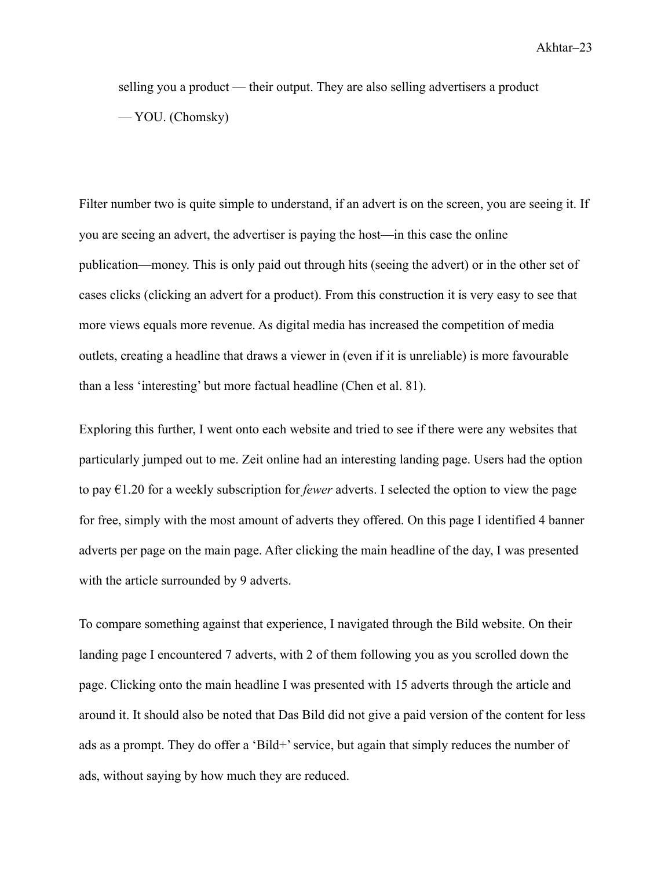selling you a product — their output. They are also selling advertisers a product — YOU. (Chomsky)

Filter number two is quite simple to understand, if an advert is on the screen, you are seeing it. If you are seeing an advert, the advertiser is paying the host—in this case the online publication—money. This is only paid out through hits (seeing the advert) or in the other set of cases clicks (clicking an advert for a product). From this construction it is very easy to see that more views equals more revenue. As digital media has increased the competition of media outlets, creating a headline that draws a viewer in (even if it is unreliable) is more favourable than a less 'interesting' but more factual headline (Chen et al. 81).

Exploring this further, I went onto each website and tried to see if there were any websites that particularly jumped out to me. Zeit online had an interesting landing page. Users had the option to pay €1.20 for a weekly subscription for *fewer* adverts. I selected the option to view the page for free, simply with the most amount of adverts they offered. On this page I identified 4 banner adverts per page on the main page. After clicking the main headline of the day, I was presented with the article surrounded by 9 adverts.

To compare something against that experience, I navigated through the Bild website. On their landing page I encountered 7 adverts, with 2 of them following you as you scrolled down the page. Clicking onto the main headline I was presented with 15 adverts through the article and around it. It should also be noted that Das Bild did not give a paid version of the content for less ads as a prompt. They do offer a 'Bild+' service, but again that simply reduces the number of ads, without saying by how much they are reduced.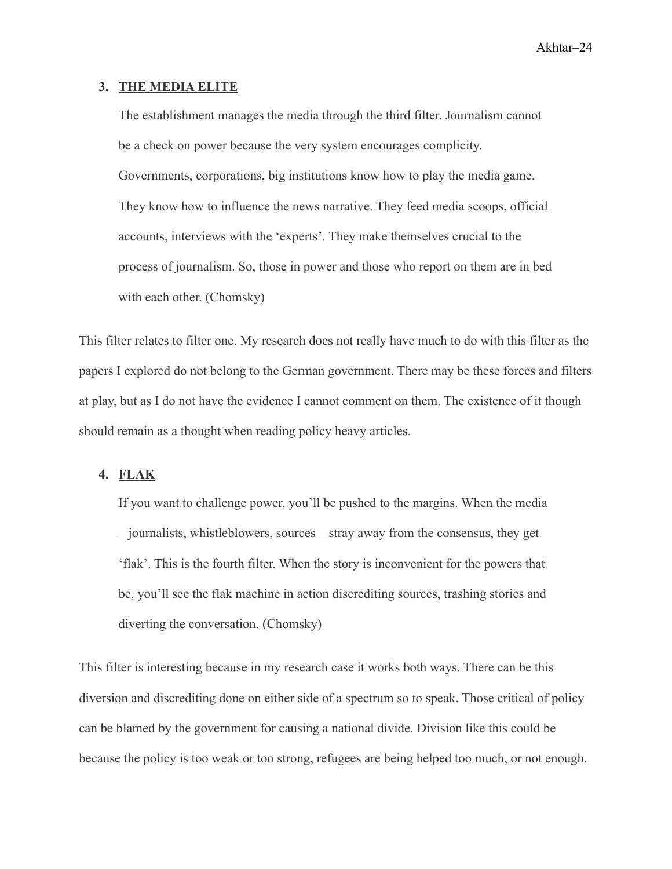#### **3. THE MEDIA ELITE**

The establishment manages the media through the third filter. Journalism cannot be a check on power because the very system encourages complicity. Governments, corporations, big institutions know how to play the media game. They know how to influence the news narrative. They feed media scoops, official accounts, interviews with the 'experts'. They make themselves crucial to the process of journalism. So, those in power and those who report on them are in bed with each other. (Chomsky)

This filter relates to filter one. My research does not really have much to do with this filter as the papers I explored do not belong to the German government. There may be these forces and filters at play, but as I do not have the evidence I cannot comment on them. The existence of it though should remain as a thought when reading policy heavy articles.

#### **4. FLAK**

If you want to challenge power, you'll be pushed to the margins. When the media – journalists, whistleblowers, sources – stray away from the consensus, they get 'flak'. This is the fourth filter. When the story is inconvenient for the powers that be, you'll see the flak machine in action discrediting sources, trashing stories and diverting the conversation. (Chomsky)

This filter is interesting because in my research case it works both ways. There can be this diversion and discrediting done on either side of a spectrum so to speak. Those critical of policy can be blamed by the government for causing a national divide. Division like this could be because the policy is too weak or too strong, refugees are being helped too much, or not enough.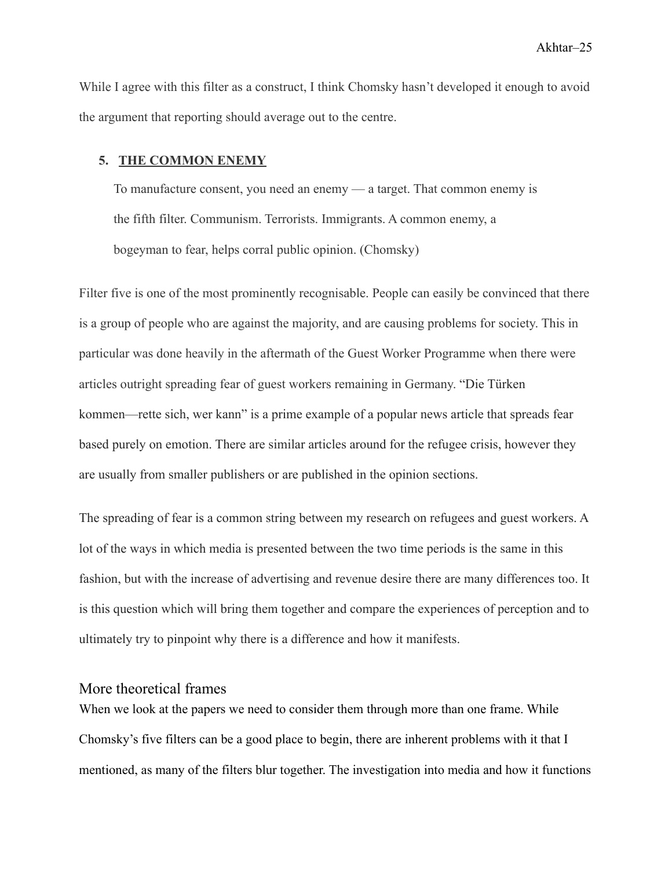While I agree with this filter as a construct, I think Chomsky hasn't developed it enough to avoid the argument that reporting should average out to the centre.

#### **5. THE COMMON ENEMY**

To manufacture consent, you need an enemy — a target. That common enemy is the fifth filter. Communism. Terrorists. Immigrants. A common enemy, a bogeyman to fear, helps corral public opinion. (Chomsky)

Filter five is one of the most prominently recognisable. People can easily be convinced that there is a group of people who are against the majority, and are causing problems for society. This in particular was done heavily in the aftermath of the Guest Worker Programme when there were articles outright spreading fear of guest workers remaining in Germany. "Die Türken kommen—rette sich, wer kann" is a prime example of a popular news article that spreads fear based purely on emotion. There are similar articles around for the refugee crisis, however they are usually from smaller publishers or are published in the opinion sections.

The spreading of fear is a common string between my research on refugees and guest workers. A lot of the ways in which media is presented between the two time periods is the same in this fashion, but with the increase of advertising and revenue desire there are many differences too. It is this question which will bring them together and compare the experiences of perception and to ultimately try to pinpoint why there is a difference and how it manifests.

#### <span id="page-25-0"></span>More theoretical frames

When we look at the papers we need to consider them through more than one frame. While Chomsky's five filters can be a good place to begin, there are inherent problems with it that I mentioned, as many of the filters blur together. The investigation into media and how it functions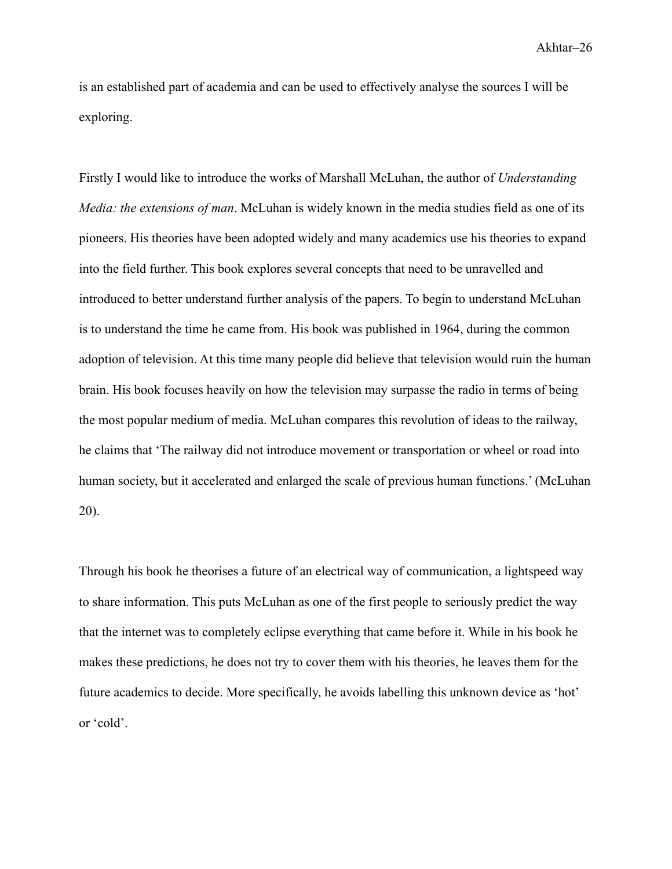is an established part of academia and can be used to effectively analyse the sources I will be exploring.

Firstly I would like to introduce the works of Marshall McLuhan, the author of *Understanding Media: the extensions of man*. McLuhan is widely known in the media studies field as one of its pioneers. His theories have been adopted widely and many academics use his theories to expand into the field further. This book explores several concepts that need to be unravelled and introduced to better understand further analysis of the papers. To begin to understand McLuhan is to understand the time he came from. His book was published in 1964, during the common adoption of television. At this time many people did believe that television would ruin the human brain. His book focuses heavily on how the television may surpasse the radio in terms of being the most popular medium of media. McLuhan compares this revolution of ideas to the railway, he claims that 'The railway did not introduce movement or transportation or wheel or road into human society, but it accelerated and enlarged the scale of previous human functions.' (McLuhan 20).

Through his book he theorises a future of an electrical way of communication, a lightspeed way to share information. This puts McLuhan as one of the first people to seriously predict the way that the internet was to completely eclipse everything that came before it. While in his book he makes these predictions, he does not try to cover them with his theories, he leaves them for the future academics to decide. More specifically, he avoids labelling this unknown device as 'hot' or 'cold'.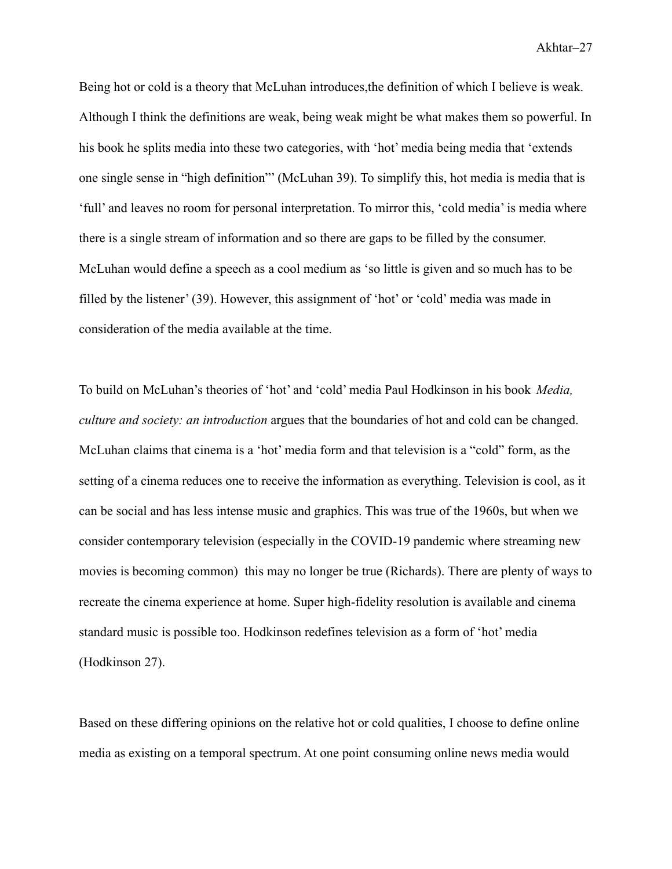Being hot or cold is a theory that McLuhan introduces,the definition of which I believe is weak. Although I think the definitions are weak, being weak might be what makes them so powerful. In his book he splits media into these two categories, with 'hot' media being media that 'extends one single sense in "high definition"' (McLuhan 39). To simplify this, hot media is media that is 'full' and leaves no room for personal interpretation. To mirror this, 'cold media' is media where there is a single stream of information and so there are gaps to be filled by the consumer. McLuhan would define a speech as a cool medium as 'so little is given and so much has to be filled by the listener' (39). However, this assignment of 'hot' or 'cold' media was made in consideration of the media available at the time.

To build on McLuhan's theories of 'hot' and 'cold' media Paul Hodkinson in his book *Media, culture and society: an introduction* argues that the boundaries of hot and cold can be changed. McLuhan claims that cinema is a 'hot' media form and that television is a "cold" form, as the setting of a cinema reduces one to receive the information as everything. Television is cool, as it can be social and has less intense music and graphics. This was true of the 1960s, but when we consider contemporary television (especially in the COVID-19 pandemic where streaming new movies is becoming common) this may no longer be true (Richards). There are plenty of ways to recreate the cinema experience at home. Super high-fidelity resolution is available and cinema standard music is possible too. Hodkinson redefines television as a form of 'hot' media (Hodkinson 27).

Based on these differing opinions on the relative hot or cold qualities, I choose to define online media as existing on a temporal spectrum. At one point consuming online news media would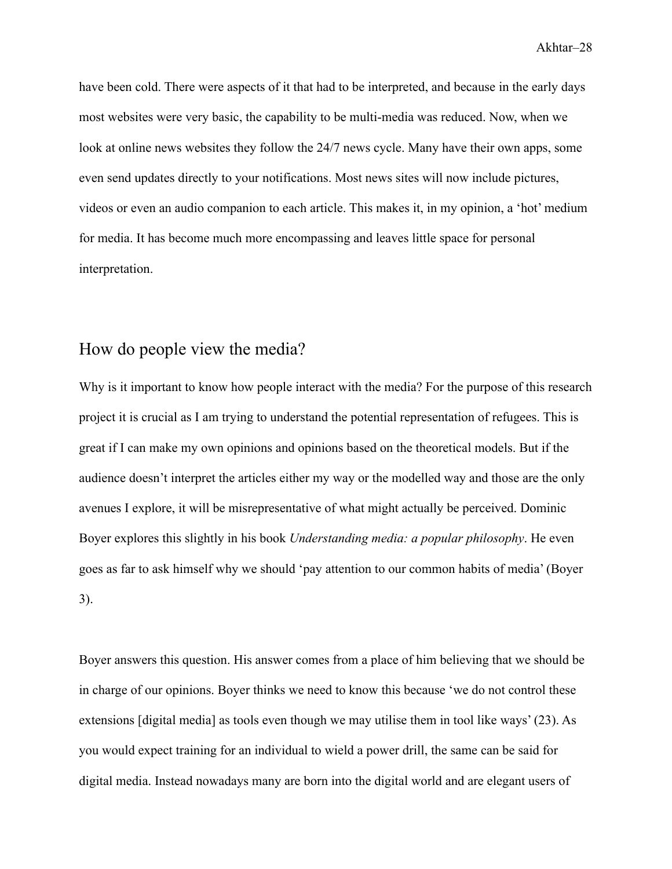have been cold. There were aspects of it that had to be interpreted, and because in the early days most websites were very basic, the capability to be multi-media was reduced. Now, when we look at online news websites they follow the 24/7 news cycle. Many have their own apps, some even send updates directly to your notifications. Most news sites will now include pictures, videos or even an audio companion to each article. This makes it, in my opinion, a 'hot' medium for media. It has become much more encompassing and leaves little space for personal interpretation.

## <span id="page-28-0"></span>How do people view the media?

Why is it important to know how people interact with the media? For the purpose of this research project it is crucial as I am trying to understand the potential representation of refugees. This is great if I can make my own opinions and opinions based on the theoretical models. But if the audience doesn't interpret the articles either my way or the modelled way and those are the only avenues I explore, it will be misrepresentative of what might actually be perceived. Dominic Boyer explores this slightly in his book *Understanding media: a popular philosophy*. He even goes as far to ask himself why we should 'pay attention to our common habits of media' (Boyer 3).

Boyer answers this question. His answer comes from a place of him believing that we should be in charge of our opinions. Boyer thinks we need to know this because 'we do not control these extensions [digital media] as tools even though we may utilise them in tool like ways' (23). As you would expect training for an individual to wield a power drill, the same can be said for digital media. Instead nowadays many are born into the digital world and are elegant users of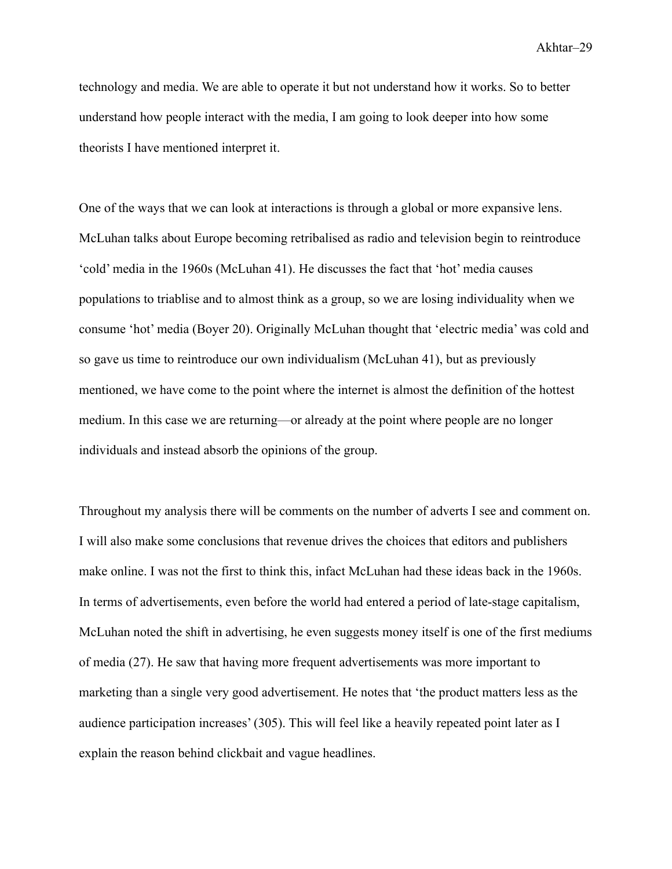technology and media. We are able to operate it but not understand how it works. So to better understand how people interact with the media, I am going to look deeper into how some theorists I have mentioned interpret it.

One of the ways that we can look at interactions is through a global or more expansive lens. McLuhan talks about Europe becoming retribalised as radio and television begin to reintroduce 'cold' media in the 1960s (McLuhan 41). He discusses the fact that 'hot' media causes populations to triablise and to almost think as a group, so we are losing individuality when we consume 'hot' media (Boyer 20). Originally McLuhan thought that 'electric media' was cold and so gave us time to reintroduce our own individualism (McLuhan 41), but as previously mentioned, we have come to the point where the internet is almost the definition of the hottest medium. In this case we are returning—or already at the point where people are no longer individuals and instead absorb the opinions of the group.

Throughout my analysis there will be comments on the number of adverts I see and comment on. I will also make some conclusions that revenue drives the choices that editors and publishers make online. I was not the first to think this, infact McLuhan had these ideas back in the 1960s. In terms of advertisements, even before the world had entered a period of late-stage capitalism, McLuhan noted the shift in advertising, he even suggests money itself is one of the first mediums of media (27). He saw that having more frequent advertisements was more important to marketing than a single very good advertisement. He notes that 'the product matters less as the audience participation increases' (305). This will feel like a heavily repeated point later as I explain the reason behind clickbait and vague headlines.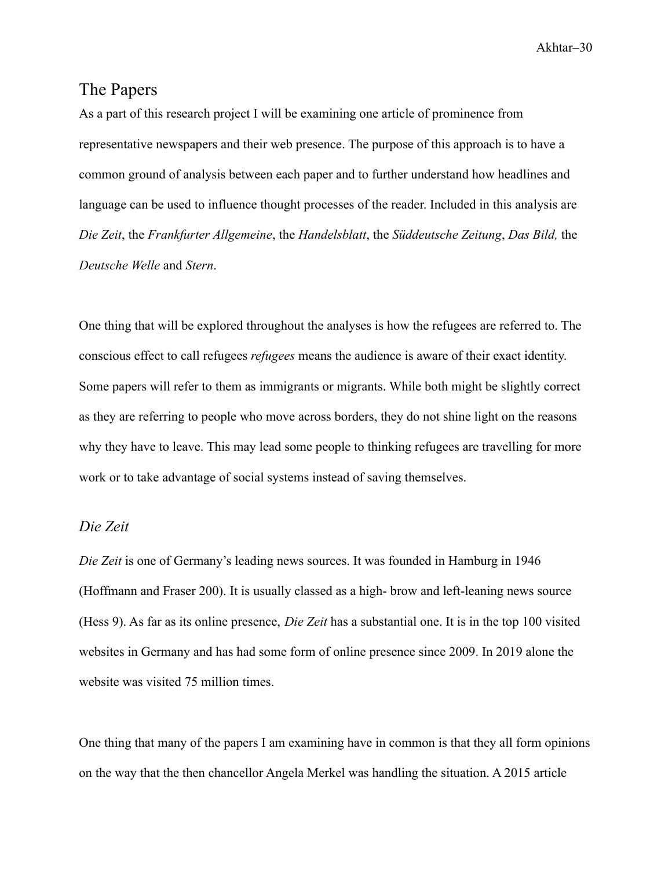## <span id="page-30-0"></span>The Papers

As a part of this research project I will be examining one article of prominence from representative newspapers and their web presence. The purpose of this approach is to have a common ground of analysis between each paper and to further understand how headlines and language can be used to influence thought processes of the reader. Included in this analysis are *Die Zeit*, the *Frankfurter Allgemeine*, the *Handelsblatt*, the *Süddeutsche Zeitung*, *Das Bild,* the *Deutsche Welle* and *Stern*.

One thing that will be explored throughout the analyses is how the refugees are referred to. The conscious effect to call refugees *refugees* means the audience is aware of their exact identity. Some papers will refer to them as immigrants or migrants. While both might be slightly correct as they are referring to people who move across borders, they do not shine light on the reasons why they have to leave. This may lead some people to thinking refugees are travelling for more work or to take advantage of social systems instead of saving themselves.

#### <span id="page-30-1"></span>*Die Zeit*

*Die Zeit* is one of Germany's leading news sources. It was founded in Hamburg in 1946 (Hoffmann and Fraser 200). It is usually classed as a high- brow and left-leaning news source (Hess 9). As far as its online presence, *Die Zeit* has a substantial one. It is in the top 100 visited websites in Germany and has had some form of online presence since 2009. In 2019 alone the website was visited 75 million times.

One thing that many of the papers I am examining have in common is that they all form opinions on the way that the then chancellor Angela Merkel was handling the situation. A 2015 article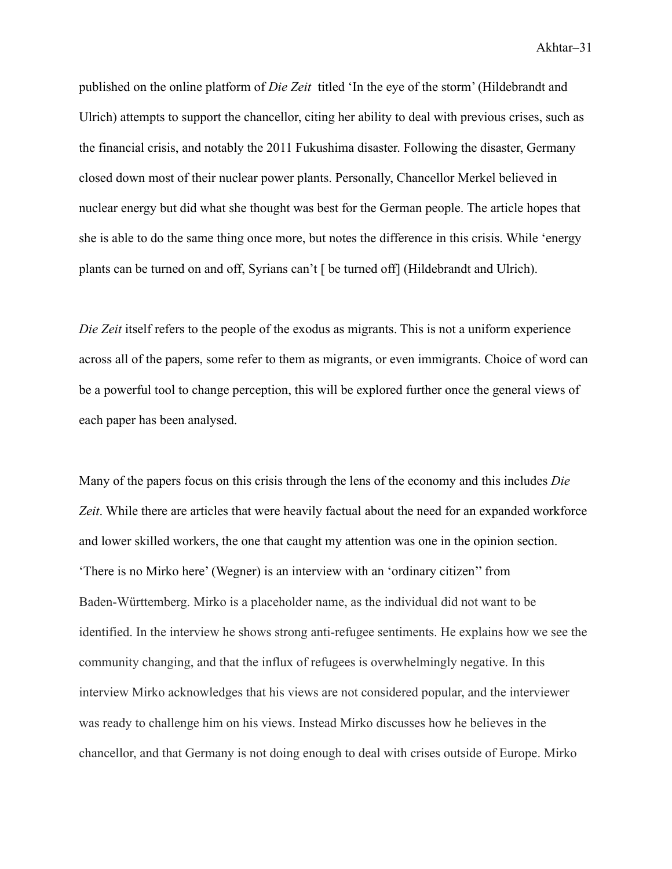published on the online platform of *Die Zeit* titled 'In the eye of the storm' (Hildebrandt and Ulrich) attempts to support the chancellor, citing her ability to deal with previous crises, such as the financial crisis, and notably the 2011 Fukushima disaster. Following the disaster, Germany closed down most of their nuclear power plants. Personally, Chancellor Merkel believed in nuclear energy but did what she thought was best for the German people. The article hopes that she is able to do the same thing once more, but notes the difference in this crisis. While 'energy plants can be turned on and off, Syrians can't [ be turned off] (Hildebrandt and Ulrich).

*Die Zeit* itself refers to the people of the exodus as migrants. This is not a uniform experience across all of the papers, some refer to them as migrants, or even immigrants. Choice of word can be a powerful tool to change perception, this will be explored further once the general views of each paper has been analysed.

Many of the papers focus on this crisis through the lens of the economy and this includes *Die Zeit*. While there are articles that were heavily factual about the need for an expanded workforce and lower skilled workers, the one that caught my attention was one in the opinion section. 'There is no Mirko here' (Wegner) is an interview with an 'ordinary citizen'' from Baden-Württemberg. Mirko is a placeholder name, as the individual did not want to be identified. In the interview he shows strong anti-refugee sentiments. He explains how we see the community changing, and that the influx of refugees is overwhelmingly negative. In this interview Mirko acknowledges that his views are not considered popular, and the interviewer was ready to challenge him on his views. Instead Mirko discusses how he believes in the chancellor, and that Germany is not doing enough to deal with crises outside of Europe. Mirko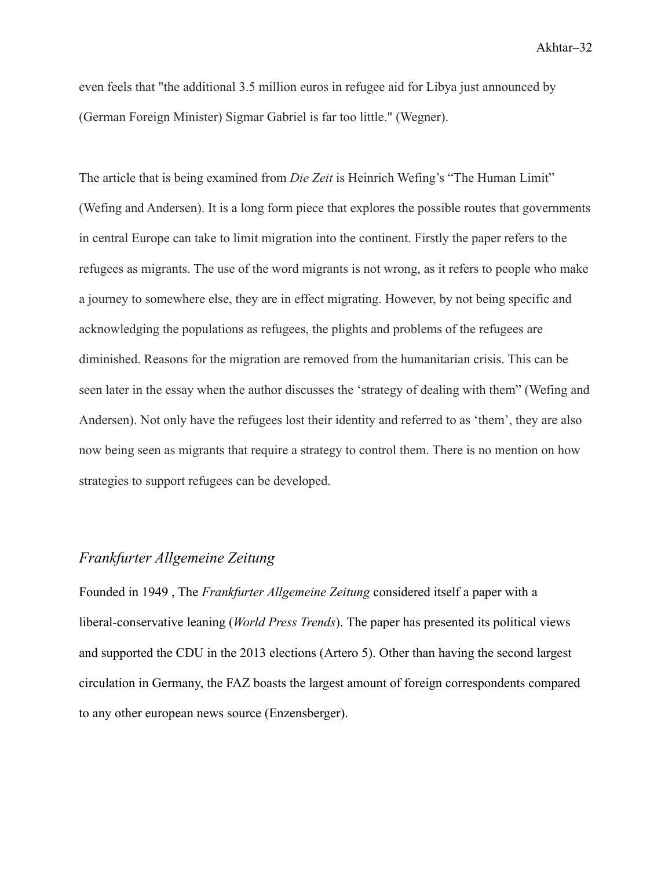even feels that "the additional 3.5 million euros in refugee aid for Libya just announced by (German Foreign Minister) Sigmar Gabriel is far too little." (Wegner).

The article that is being examined from *Die Zeit* is Heinrich Wefing's "The Human Limit" (Wefing and Andersen). It is a long form piece that explores the possible routes that governments in central Europe can take to limit migration into the continent. Firstly the paper refers to the refugees as migrants. The use of the word migrants is not wrong, as it refers to people who make a journey to somewhere else, they are in effect migrating. However, by not being specific and acknowledging the populations as refugees, the plights and problems of the refugees are diminished. Reasons for the migration are removed from the humanitarian crisis. This can be seen later in the essay when the author discusses the 'strategy of dealing with them" (Wefing and Andersen). Not only have the refugees lost their identity and referred to as 'them', they are also now being seen as migrants that require a strategy to control them. There is no mention on how strategies to support refugees can be developed.

#### <span id="page-32-0"></span>*Frankfurter Allgemeine Zeitung*

Founded in 1949 , The *Frankfurter Allgemeine Zeitung* considered itself a paper with a liberal-conservative leaning (*World Press Trends*). The paper has presented its political views and supported the CDU in the 2013 elections (Artero 5). Other than having the second largest circulation in Germany, the FAZ boasts the largest amount of foreign correspondents compared to any other european news source (Enzensberger).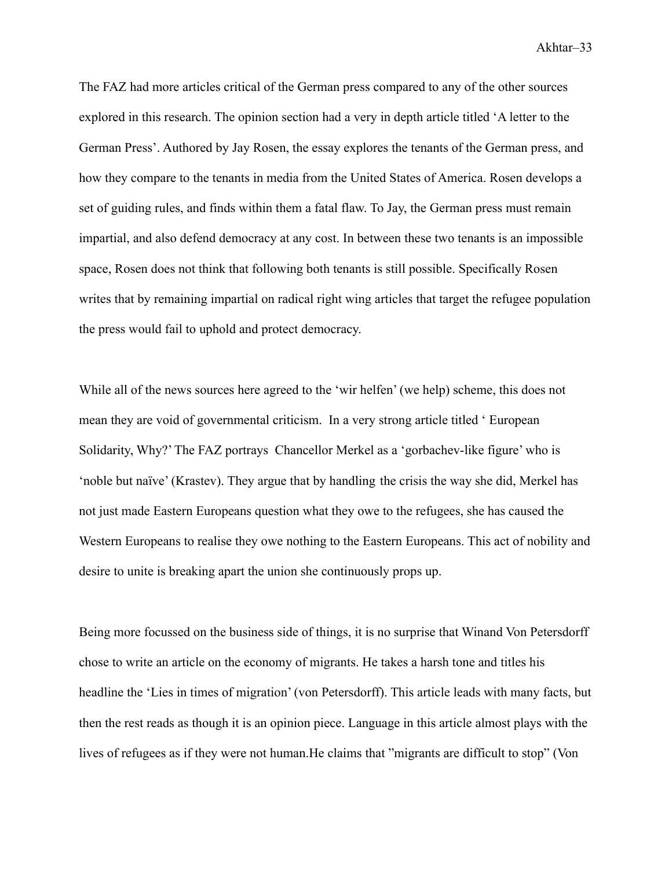The FAZ had more articles critical of the German press compared to any of the other sources explored in this research. The opinion section had a very in depth article titled 'A letter to the German Press'. Authored by Jay Rosen, the essay explores the tenants of the German press, and how they compare to the tenants in media from the United States of America. Rosen develops a set of guiding rules, and finds within them a fatal flaw. To Jay, the German press must remain impartial, and also defend democracy at any cost. In between these two tenants is an impossible space, Rosen does not think that following both tenants is still possible. Specifically Rosen writes that by remaining impartial on radical right wing articles that target the refugee population the press would fail to uphold and protect democracy.

While all of the news sources here agreed to the 'wir helfen' (we help) scheme, this does not mean they are void of governmental criticism. In a very strong article titled ' European Solidarity, Why?' The FAZ portrays Chancellor Merkel as a 'gorbachev-like figure' who is 'noble but naïve' (Krastev). They argue that by handling the crisis the way she did, Merkel has not just made Eastern Europeans question what they owe to the refugees, she has caused the Western Europeans to realise they owe nothing to the Eastern Europeans. This act of nobility and desire to unite is breaking apart the union she continuously props up.

Being more focussed on the business side of things, it is no surprise that Winand Von Petersdorff chose to write an article on the economy of migrants. He takes a harsh tone and titles his headline the 'Lies in times of migration' (von Petersdorff). This article leads with many facts, but then the rest reads as though it is an opinion piece. Language in this article almost plays with the lives of refugees as if they were not human.He claims that "migrants are difficult to stop" (Von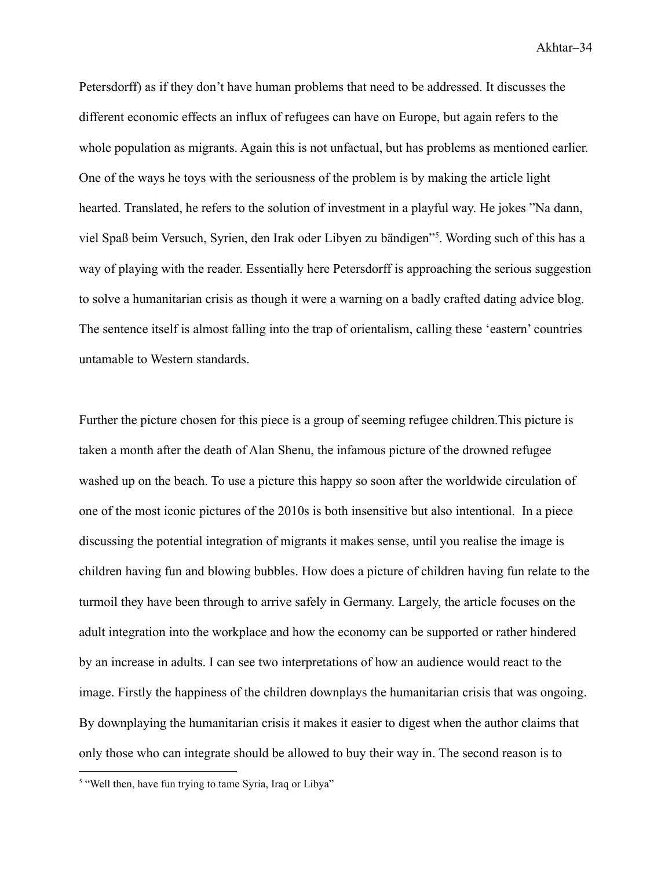Petersdorff) as if they don't have human problems that need to be addressed. It discusses the different economic effects an influx of refugees can have on Europe, but again refers to the whole population as migrants. Again this is not unfactual, but has problems as mentioned earlier. One of the ways he toys with the seriousness of the problem is by making the article light hearted. Translated, he refers to the solution of investment in a playful way. He jokes "Na dann, viel Spaß beim Versuch, Syrien, den Irak oder Libyen zu bändigen"<sup>5</sup> . Wording such of this has a way of playing with the reader. Essentially here Petersdorff is approaching the serious suggestion to solve a humanitarian crisis as though it were a warning on a badly crafted dating advice blog. The sentence itself is almost falling into the trap of orientalism, calling these 'eastern' countries untamable to Western standards.

Further the picture chosen for this piece is a group of seeming refugee children.This picture is taken a month after the death of Alan Shenu, the infamous picture of the drowned refugee washed up on the beach. To use a picture this happy so soon after the worldwide circulation of one of the most iconic pictures of the 2010s is both insensitive but also intentional. In a piece discussing the potential integration of migrants it makes sense, until you realise the image is children having fun and blowing bubbles. How does a picture of children having fun relate to the turmoil they have been through to arrive safely in Germany. Largely, the article focuses on the adult integration into the workplace and how the economy can be supported or rather hindered by an increase in adults. I can see two interpretations of how an audience would react to the image. Firstly the happiness of the children downplays the humanitarian crisis that was ongoing. By downplaying the humanitarian crisis it makes it easier to digest when the author claims that only those who can integrate should be allowed to buy their way in. The second reason is to

<sup>&</sup>lt;sup>5</sup> "Well then, have fun trying to tame Syria, Iraq or Libya"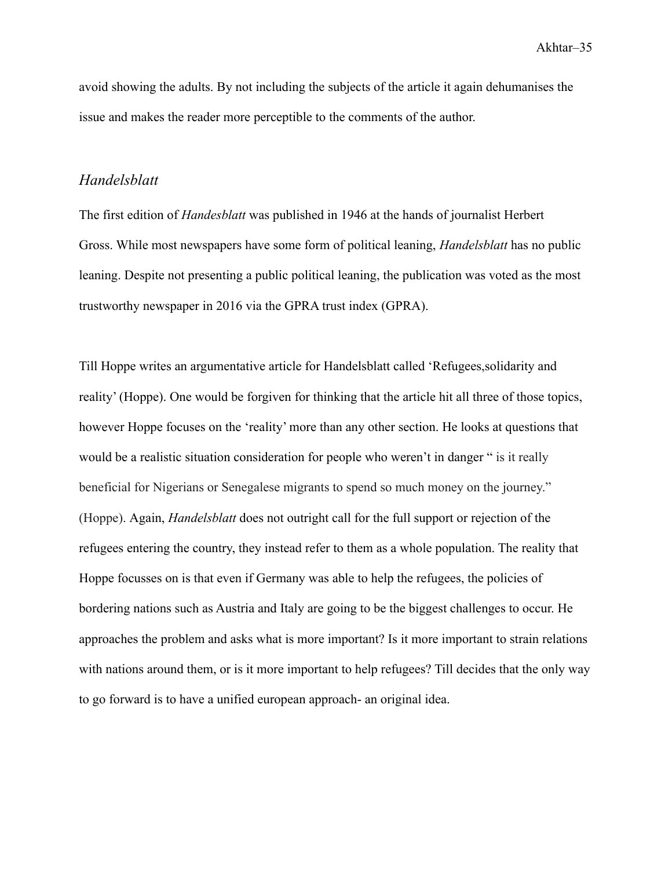avoid showing the adults. By not including the subjects of the article it again dehumanises the issue and makes the reader more perceptible to the comments of the author.

#### <span id="page-35-0"></span>*Handelsblatt*

The first edition of *Handesblatt* was published in 1946 at the hands of journalist Herbert Gross. While most newspapers have some form of political leaning, *Handelsblatt* has no public leaning. Despite not presenting a public political leaning, the publication was voted as the most trustworthy newspaper in 2016 via the GPRA trust index (GPRA).

Till Hoppe writes an argumentative article for Handelsblatt called 'Refugees,solidarity and reality' (Hoppe). One would be forgiven for thinking that the article hit all three of those topics, however Hoppe focuses on the 'reality' more than any other section. He looks at questions that would be a realistic situation consideration for people who weren't in danger " is it really beneficial for Nigerians or Senegalese migrants to spend so much money on the journey." (Hoppe). Again, *Handelsblatt* does not outright call for the full support or rejection of the refugees entering the country, they instead refer to them as a whole population. The reality that Hoppe focusses on is that even if Germany was able to help the refugees, the policies of bordering nations such as Austria and Italy are going to be the biggest challenges to occur. He approaches the problem and asks what is more important? Is it more important to strain relations with nations around them, or is it more important to help refugees? Till decides that the only way to go forward is to have a unified european approach- an original idea.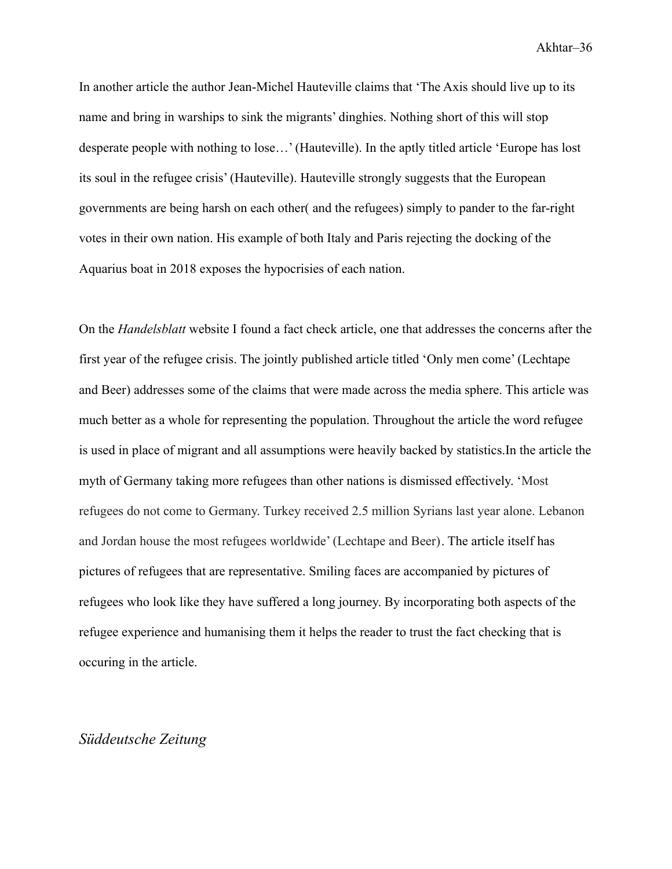In another article the author Jean-Michel Hauteville claims that 'The Axis should live up to its name and bring in warships to sink the migrants' dinghies. Nothing short of this will stop desperate people with nothing to lose…' (Hauteville). In the aptly titled article 'Europe has lost its soul in the refugee crisis' (Hauteville). Hauteville strongly suggests that the European governments are being harsh on each other( and the refugees) simply to pander to the far-right votes in their own nation. His example of both Italy and Paris rejecting the docking of the Aquarius boat in 2018 exposes the hypocrisies of each nation.

On the *Handelsblatt* website I found a fact check article, one that addresses the concerns after the first year of the refugee crisis. The jointly published article titled 'Only men come' (Lechtape and Beer) addresses some of the claims that were made across the media sphere. This article was much better as a whole for representing the population. Throughout the article the word refugee is used in place of migrant and all assumptions were heavily backed by statistics.In the article the myth of Germany taking more refugees than other nations is dismissed effectively. 'Most refugees do not come to Germany. Turkey received 2.5 million Syrians last year alone. Lebanon and Jordan house the most refugees worldwide' (Lechtape and Beer). The article itself has pictures of refugees that are representative. Smiling faces are accompanied by pictures of refugees who look like they have suffered a long journey. By incorporating both aspects of the refugee experience and humanising them it helps the reader to trust the fact checking that is occuring in the article.

#### <span id="page-36-0"></span>*Süddeutsche Zeitung*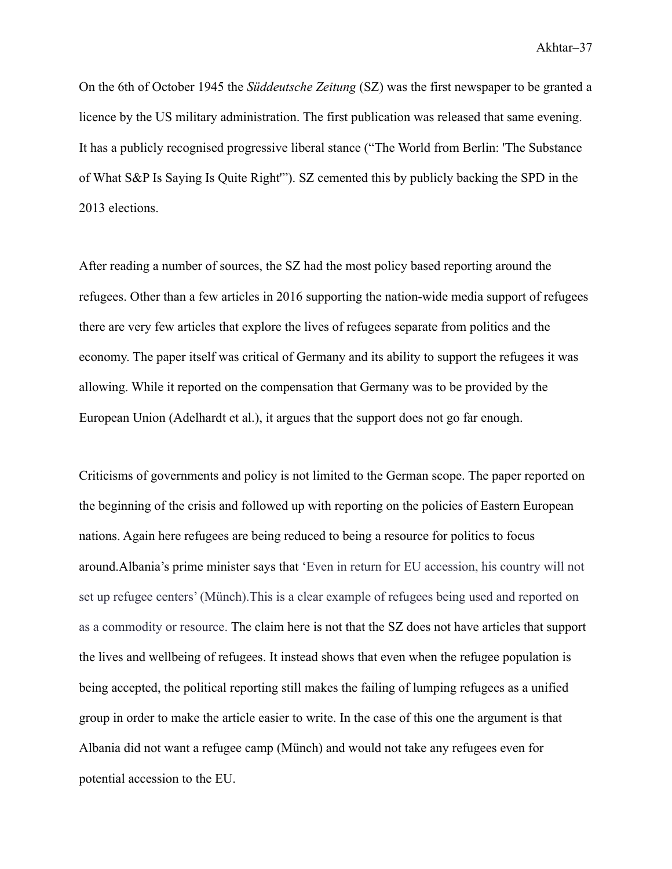On the 6th of October 1945 the *Süddeutsche Zeitung* (SZ) was the first newspaper to be granted a licence by the US military administration. The first publication was released that same evening. It has a publicly recognised progressive liberal stance ("The World from Berlin: 'The Substance of What S&P Is Saying Is Quite Right'"). SZ cemented this by publicly backing the SPD in the 2013 elections.

After reading a number of sources, the SZ had the most policy based reporting around the refugees. Other than a few articles in 2016 supporting the nation-wide media support of refugees there are very few articles that explore the lives of refugees separate from politics and the economy. The paper itself was critical of Germany and its ability to support the refugees it was allowing. While it reported on the compensation that Germany was to be provided by the European Union (Adelhardt et al.), it argues that the support does not go far enough.

Criticisms of governments and policy is not limited to the German scope. The paper reported on the beginning of the crisis and followed up with reporting on the policies of Eastern European nations. Again here refugees are being reduced to being a resource for politics to focus around.Albania's prime minister says that 'Even in return for EU accession, his country will not set up refugee centers' (Münch).This is a clear example of refugees being used and reported on as a commodity or resource. The claim here is not that the SZ does not have articles that support the lives and wellbeing of refugees. It instead shows that even when the refugee population is being accepted, the political reporting still makes the failing of lumping refugees as a unified group in order to make the article easier to write. In the case of this one the argument is that Albania did not want a refugee camp (Münch) and would not take any refugees even for potential accession to the EU.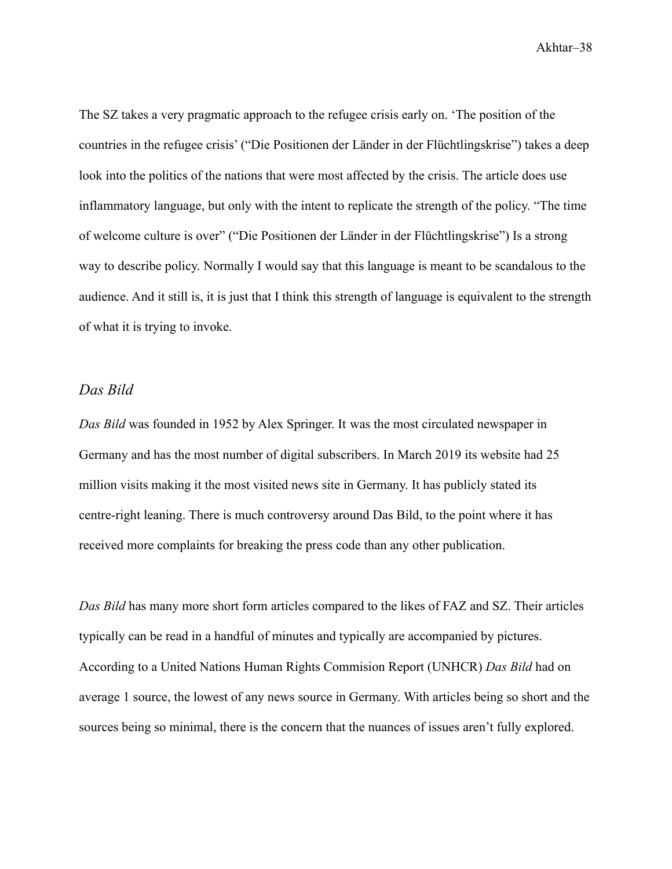The SZ takes a very pragmatic approach to the refugee crisis early on. 'The position of the countries in the refugee crisis' ("Die Positionen der Länder in der Flüchtlingskrise") takes a deep look into the politics of the nations that were most affected by the crisis. The article does use inflammatory language, but only with the intent to replicate the strength of the policy. "The time of welcome culture is over" ("Die Positionen der Länder in der Flüchtlingskrise") Is a strong way to describe policy. Normally I would say that this language is meant to be scandalous to the audience. And it still is, it is just that I think this strength of language is equivalent to the strength of what it is trying to invoke.

#### <span id="page-38-0"></span>*Das Bild*

*Das Bild* was founded in 1952 by Alex Springer. It was the most circulated newspaper in Germany and has the most number of digital subscribers. In March 2019 its website had 25 million visits making it the most visited news site in Germany. It has publicly stated its centre-right leaning. There is much controversy around Das Bild, to the point where it has received more complaints for breaking the press code than any other publication.

*Das Bild* has many more short form articles compared to the likes of FAZ and SZ. Their articles typically can be read in a handful of minutes and typically are accompanied by pictures. According to a United Nations Human Rights Commision Report (UNHCR) *Das Bild* had on average 1 source, the lowest of any news source in Germany. With articles being so short and the sources being so minimal, there is the concern that the nuances of issues aren't fully explored.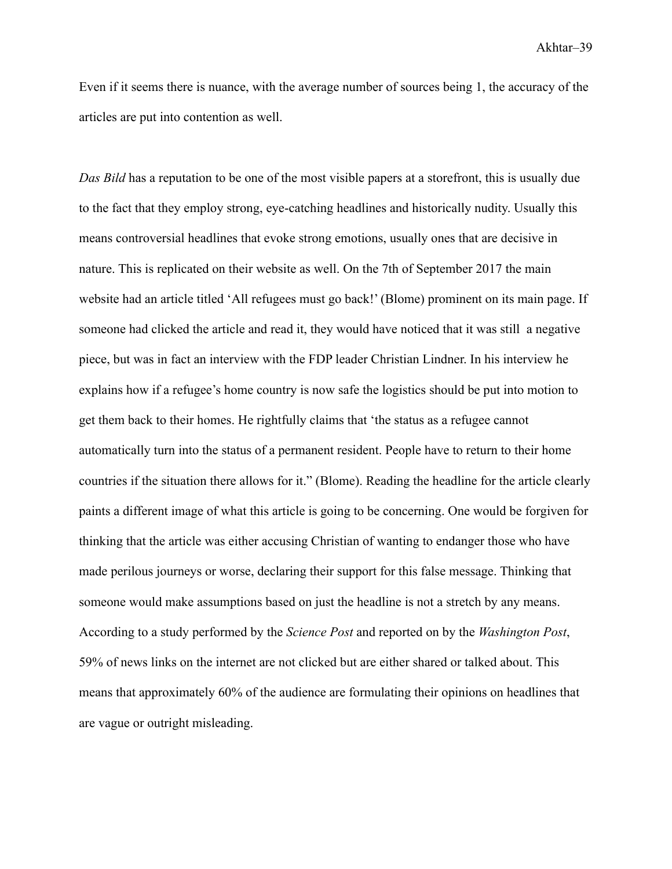Even if it seems there is nuance, with the average number of sources being 1, the accuracy of the articles are put into contention as well.

*Das Bild* has a reputation to be one of the most visible papers at a storefront, this is usually due to the fact that they employ strong, eye-catching headlines and historically nudity. Usually this means controversial headlines that evoke strong emotions, usually ones that are decisive in nature. This is replicated on their website as well. On the 7th of September 2017 the main website had an article titled 'All refugees must go back!' (Blome) prominent on its main page. If someone had clicked the article and read it, they would have noticed that it was still a negative piece, but was in fact an interview with the FDP leader Christian Lindner. In his interview he explains how if a refugee's home country is now safe the logistics should be put into motion to get them back to their homes. He rightfully claims that 'the status as a refugee cannot automatically turn into the status of a permanent resident. People have to return to their home countries if the situation there allows for it." (Blome). Reading the headline for the article clearly paints a different image of what this article is going to be concerning. One would be forgiven for thinking that the article was either accusing Christian of wanting to endanger those who have made perilous journeys or worse, declaring their support for this false message. Thinking that someone would make assumptions based on just the headline is not a stretch by any means. According to a study performed by the *Science Post* and reported on by the *Washington Post*, 59% of news links on the internet are not clicked but are either shared or talked about. This means that approximately 60% of the audience are formulating their opinions on headlines that are vague or outright misleading.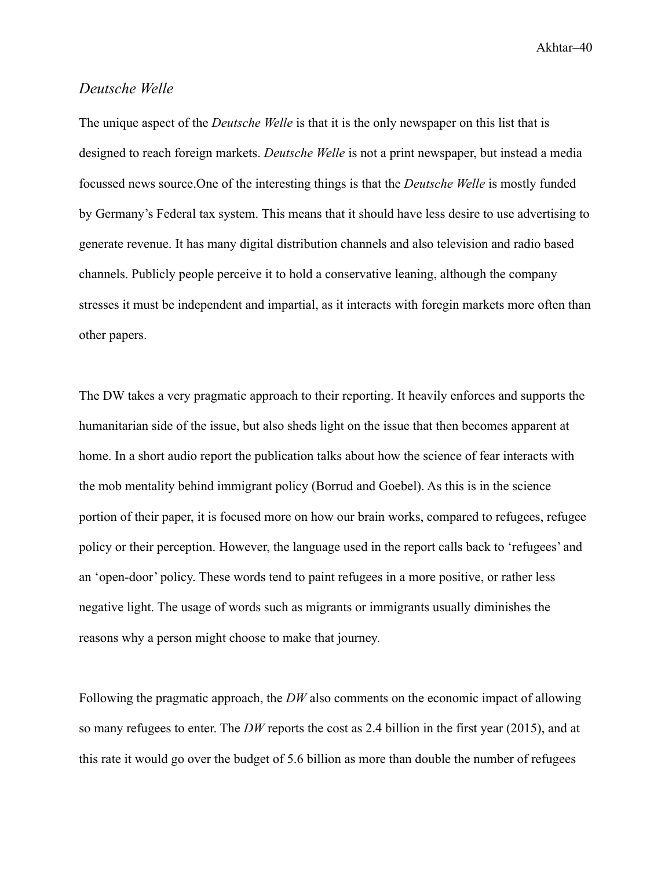#### <span id="page-40-0"></span>*Deutsche Welle*

The unique aspect of the *Deutsche Welle* is that it is the only newspaper on this list that is designed to reach foreign markets. *Deutsche Welle* is not a print newspaper, but instead a media focussed news source.One of the interesting things is that the *Deutsche Welle* is mostly funded by Germany's Federal tax system. This means that it should have less desire to use advertising to generate revenue. It has many digital distribution channels and also television and radio based channels. Publicly people perceive it to hold a conservative leaning, although the company stresses it must be independent and impartial, as it interacts with foregin markets more often than other papers.

The DW takes a very pragmatic approach to their reporting. It heavily enforces and supports the humanitarian side of the issue, but also sheds light on the issue that then becomes apparent at home. In a short audio report the publication talks about how the science of fear interacts with the mob mentality behind immigrant policy (Borrud and Goebel). As this is in the science portion of their paper, it is focused more on how our brain works, compared to refugees, refugee policy or their perception. However, the language used in the report calls back to 'refugees' and an 'open-door' policy. These words tend to paint refugees in a more positive, or rather less negative light. The usage of words such as migrants or immigrants usually diminishes the reasons why a person might choose to make that journey.

Following the pragmatic approach, the *DW* also comments on the economic impact of allowing so many refugees to enter. The *DW* reports the cost as 2.4 billion in the first year (2015), and at this rate it would go over the budget of 5.6 billion as more than double the number of refugees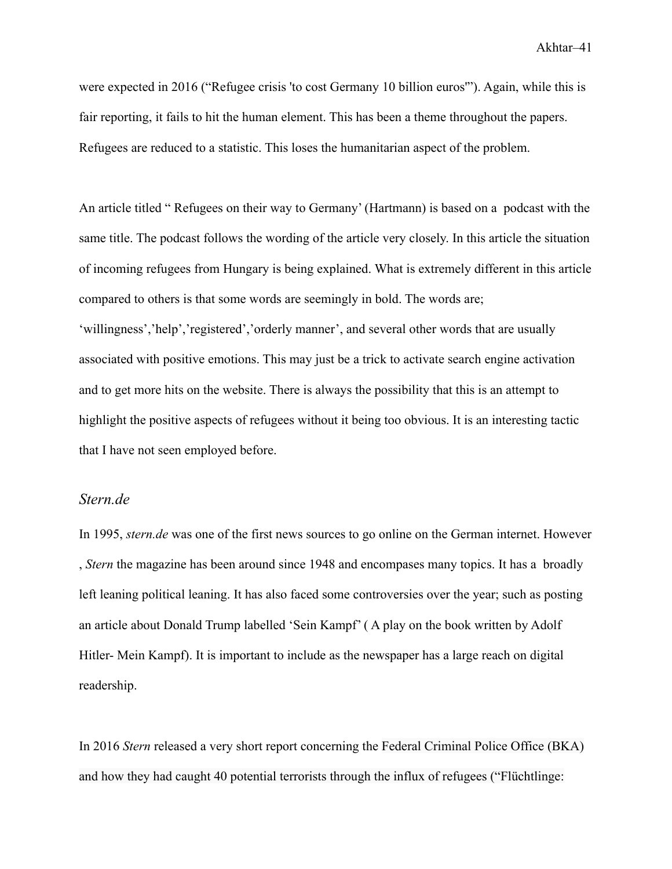were expected in 2016 ("Refugee crisis 'to cost Germany 10 billion euros'"). Again, while this is fair reporting, it fails to hit the human element. This has been a theme throughout the papers. Refugees are reduced to a statistic. This loses the humanitarian aspect of the problem.

An article titled " Refugees on their way to Germany' (Hartmann) is based on a podcast with the same title. The podcast follows the wording of the article very closely. In this article the situation of incoming refugees from Hungary is being explained. What is extremely different in this article compared to others is that some words are seemingly in bold. The words are; 'willingness','help','registered','orderly manner', and several other words that are usually associated with positive emotions. This may just be a trick to activate search engine activation and to get more hits on the website. There is always the possibility that this is an attempt to highlight the positive aspects of refugees without it being too obvious. It is an interesting tactic that I have not seen employed before.

#### <span id="page-41-0"></span>*Stern.de*

In 1995, *stern.de* was one of the first news sources to go online on the German internet. However , *Stern* the magazine has been around since 1948 and encompases many topics. It has a broadly left leaning political leaning. It has also faced some controversies over the year; such as posting an article about Donald Trump labelled 'Sein Kampf' ( A play on the book written by Adolf Hitler- Mein Kampf). It is important to include as the newspaper has a large reach on digital readership.

In 2016 *Stern* released a very short report concerning the Federal Criminal Police Office (BKA) and how they had caught 40 potential terrorists through the influx of refugees ("Flüchtlinge: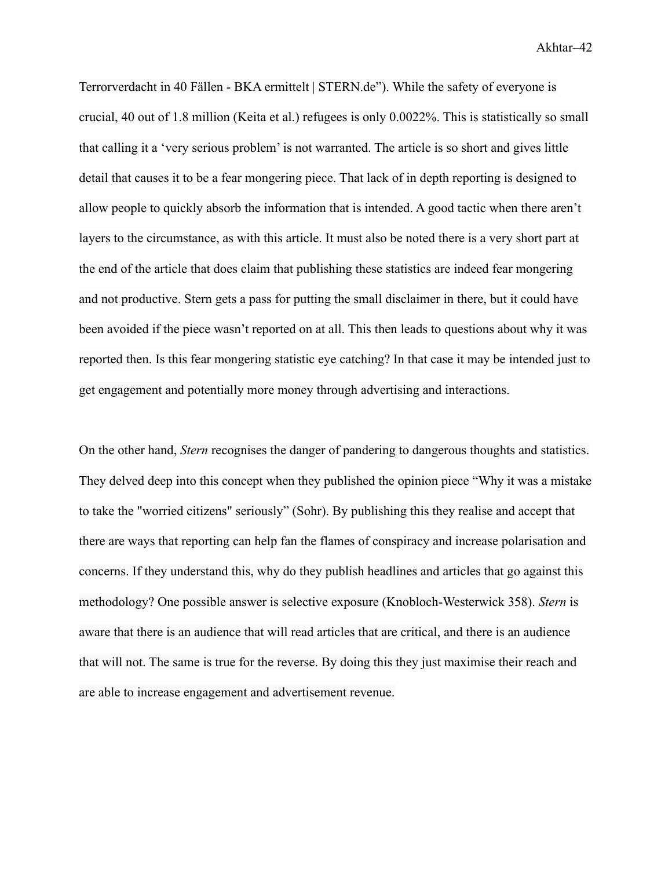Terrorverdacht in 40 Fällen - BKA ermittelt | STERN.de"). While the safety of everyone is crucial, 40 out of 1.8 million (Keita et al.) refugees is only 0.0022%. This is statistically so small that calling it a 'very serious problem' is not warranted. The article is so short and gives little detail that causes it to be a fear mongering piece. That lack of in depth reporting is designed to allow people to quickly absorb the information that is intended. A good tactic when there aren't layers to the circumstance, as with this article. It must also be noted there is a very short part at the end of the article that does claim that publishing these statistics are indeed fear mongering and not productive. Stern gets a pass for putting the small disclaimer in there, but it could have been avoided if the piece wasn't reported on at all. This then leads to questions about why it was reported then. Is this fear mongering statistic eye catching? In that case it may be intended just to get engagement and potentially more money through advertising and interactions.

On the other hand, *Stern* recognises the danger of pandering to dangerous thoughts and statistics. They delved deep into this concept when they published the opinion piece "Why it was a mistake to take the "worried citizens" seriously" (Sohr). By publishing this they realise and accept that there are ways that reporting can help fan the flames of conspiracy and increase polarisation and concerns. If they understand this, why do they publish headlines and articles that go against this methodology? One possible answer is selective exposure (Knobloch-Westerwick 358). *Stern* is aware that there is an audience that will read articles that are critical, and there is an audience that will not. The same is true for the reverse. By doing this they just maximise their reach and are able to increase engagement and advertisement revenue.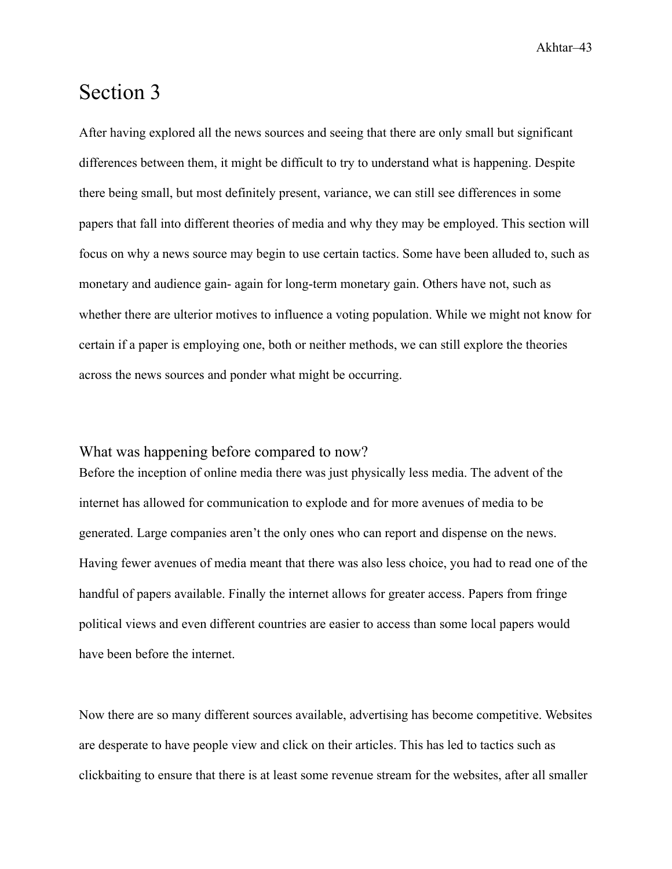## <span id="page-43-0"></span>Section 3

After having explored all the news sources and seeing that there are only small but significant differences between them, it might be difficult to try to understand what is happening. Despite there being small, but most definitely present, variance, we can still see differences in some papers that fall into different theories of media and why they may be employed. This section will focus on why a news source may begin to use certain tactics. Some have been alluded to, such as monetary and audience gain- again for long-term monetary gain. Others have not, such as whether there are ulterior motives to influence a voting population. While we might not know for certain if a paper is employing one, both or neither methods, we can still explore the theories across the news sources and ponder what might be occurring.

### <span id="page-43-1"></span>What was happening before compared to now?

Before the inception of online media there was just physically less media. The advent of the internet has allowed for communication to explode and for more avenues of media to be generated. Large companies aren't the only ones who can report and dispense on the news. Having fewer avenues of media meant that there was also less choice, you had to read one of the handful of papers available. Finally the internet allows for greater access. Papers from fringe political views and even different countries are easier to access than some local papers would have been before the internet.

Now there are so many different sources available, advertising has become competitive. Websites are desperate to have people view and click on their articles. This has led to tactics such as clickbaiting to ensure that there is at least some revenue stream for the websites, after all smaller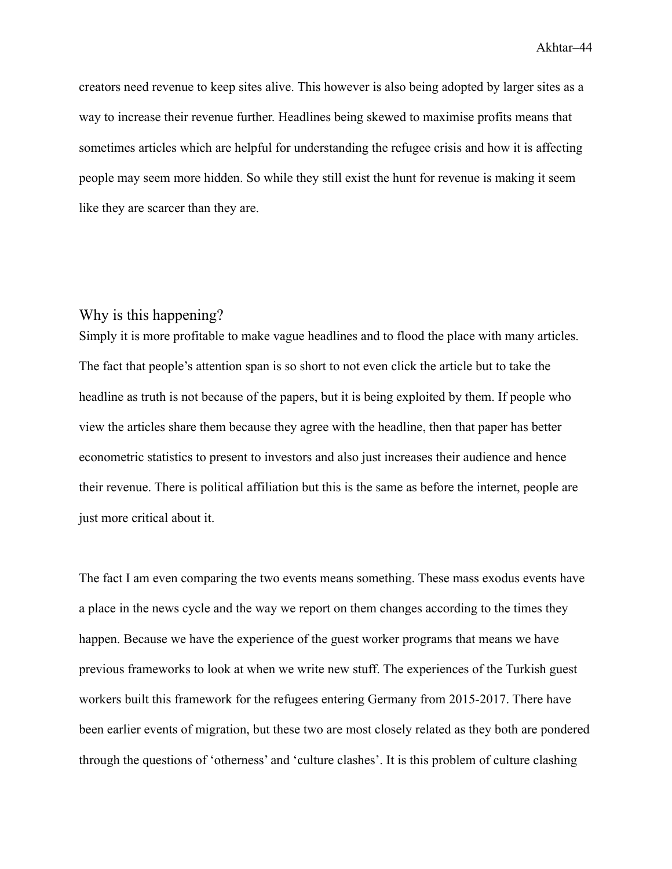creators need revenue to keep sites alive. This however is also being adopted by larger sites as a way to increase their revenue further. Headlines being skewed to maximise profits means that sometimes articles which are helpful for understanding the refugee crisis and how it is affecting people may seem more hidden. So while they still exist the hunt for revenue is making it seem like they are scarcer than they are.

### <span id="page-44-0"></span>Why is this happening?

Simply it is more profitable to make vague headlines and to flood the place with many articles. The fact that people's attention span is so short to not even click the article but to take the headline as truth is not because of the papers, but it is being exploited by them. If people who view the articles share them because they agree with the headline, then that paper has better econometric statistics to present to investors and also just increases their audience and hence their revenue. There is political affiliation but this is the same as before the internet, people are just more critical about it.

The fact I am even comparing the two events means something. These mass exodus events have a place in the news cycle and the way we report on them changes according to the times they happen. Because we have the experience of the guest worker programs that means we have previous frameworks to look at when we write new stuff. The experiences of the Turkish guest workers built this framework for the refugees entering Germany from 2015-2017. There have been earlier events of migration, but these two are most closely related as they both are pondered through the questions of 'otherness' and 'culture clashes'. It is this problem of culture clashing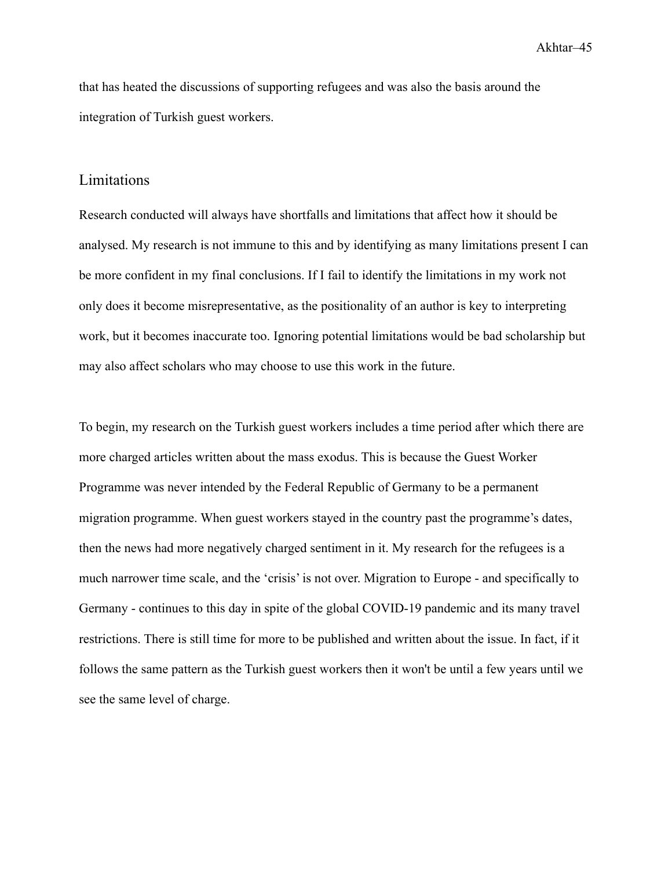that has heated the discussions of supporting refugees and was also the basis around the integration of Turkish guest workers.

#### <span id="page-45-0"></span>Limitations

Research conducted will always have shortfalls and limitations that affect how it should be analysed. My research is not immune to this and by identifying as many limitations present I can be more confident in my final conclusions. If I fail to identify the limitations in my work not only does it become misrepresentative, as the positionality of an author is key to interpreting work, but it becomes inaccurate too. Ignoring potential limitations would be bad scholarship but may also affect scholars who may choose to use this work in the future.

To begin, my research on the Turkish guest workers includes a time period after which there are more charged articles written about the mass exodus. This is because the Guest Worker Programme was never intended by the Federal Republic of Germany to be a permanent migration programme. When guest workers stayed in the country past the programme's dates, then the news had more negatively charged sentiment in it. My research for the refugees is a much narrower time scale, and the 'crisis' is not over. Migration to Europe - and specifically to Germany - continues to this day in spite of the global COVID-19 pandemic and its many travel restrictions. There is still time for more to be published and written about the issue. In fact, if it follows the same pattern as the Turkish guest workers then it won't be until a few years until we see the same level of charge.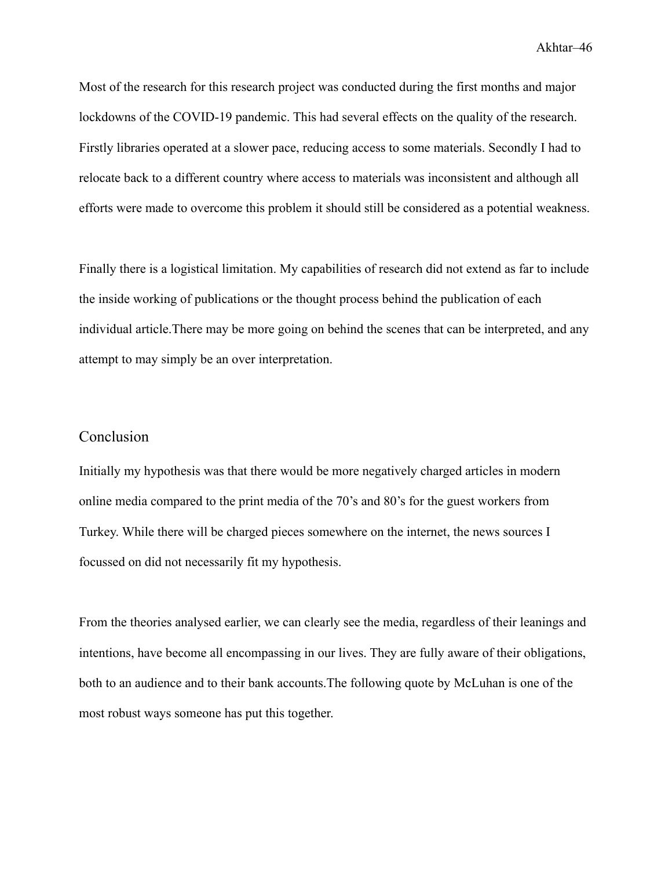Most of the research for this research project was conducted during the first months and major lockdowns of the COVID-19 pandemic. This had several effects on the quality of the research. Firstly libraries operated at a slower pace, reducing access to some materials. Secondly I had to relocate back to a different country where access to materials was inconsistent and although all efforts were made to overcome this problem it should still be considered as a potential weakness.

Finally there is a logistical limitation. My capabilities of research did not extend as far to include the inside working of publications or the thought process behind the publication of each individual article.There may be more going on behind the scenes that can be interpreted, and any attempt to may simply be an over interpretation.

### <span id="page-46-0"></span>Conclusion

Initially my hypothesis was that there would be more negatively charged articles in modern online media compared to the print media of the 70's and 80's for the guest workers from Turkey. While there will be charged pieces somewhere on the internet, the news sources I focussed on did not necessarily fit my hypothesis.

From the theories analysed earlier, we can clearly see the media, regardless of their leanings and intentions, have become all encompassing in our lives. They are fully aware of their obligations, both to an audience and to their bank accounts.The following quote by McLuhan is one of the most robust ways someone has put this together.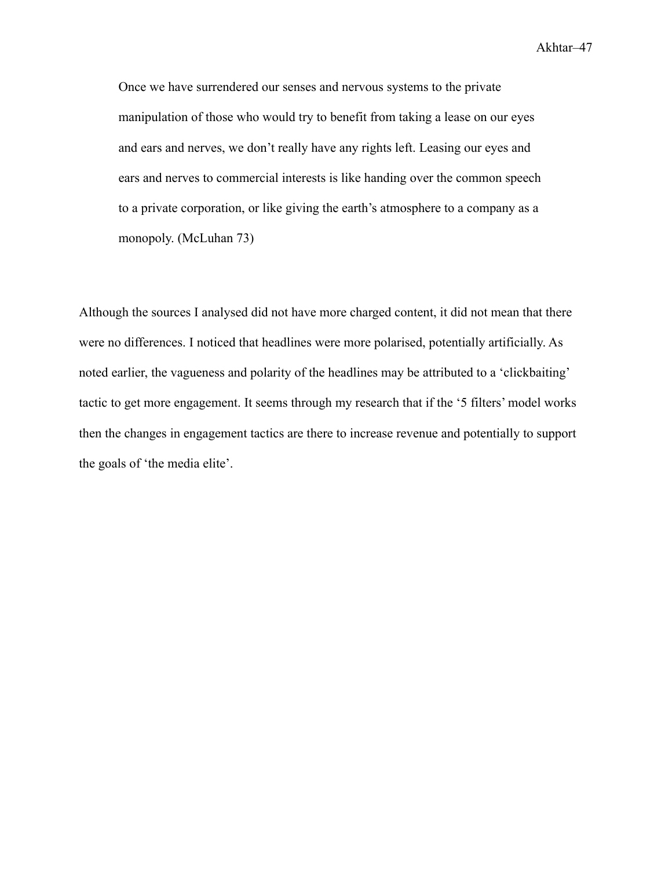Once we have surrendered our senses and nervous systems to the private manipulation of those who would try to benefit from taking a lease on our eyes and ears and nerves, we don't really have any rights left. Leasing our eyes and ears and nerves to commercial interests is like handing over the common speech to a private corporation, or like giving the earth's atmosphere to a company as a monopoly. (McLuhan 73)

Although the sources I analysed did not have more charged content, it did not mean that there were no differences. I noticed that headlines were more polarised, potentially artificially. As noted earlier, the vagueness and polarity of the headlines may be attributed to a 'clickbaiting' tactic to get more engagement. It seems through my research that if the '5 filters' model works then the changes in engagement tactics are there to increase revenue and potentially to support the goals of 'the media elite'.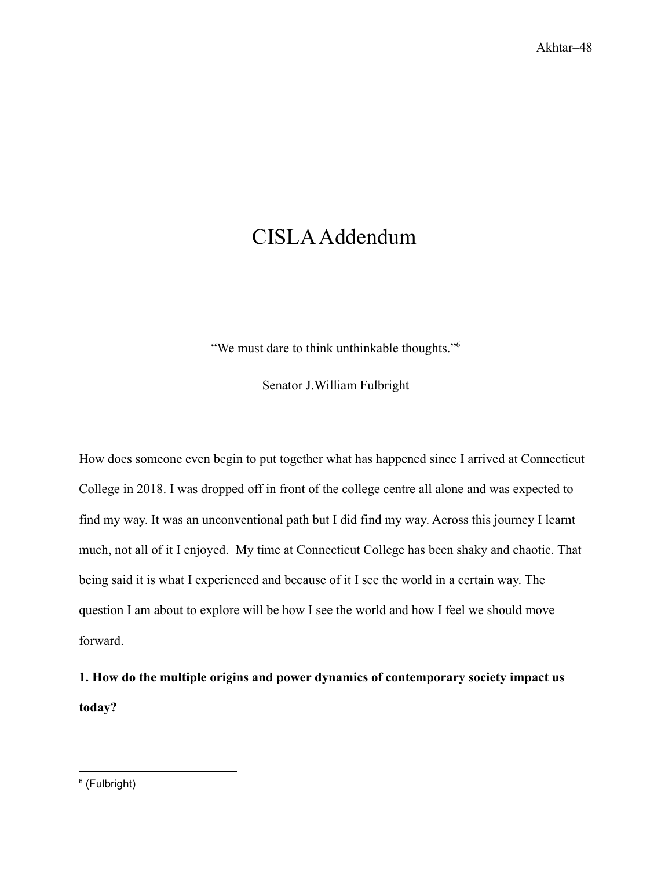# <span id="page-48-0"></span>CISLAAddendum

"We must dare to think unthinkable thoughts."<sup>6</sup>

Senator J.William Fulbright

How does someone even begin to put together what has happened since I arrived at Connecticut College in 2018. I was dropped off in front of the college centre all alone and was expected to find my way. It was an unconventional path but I did find my way. Across this journey I learnt much, not all of it I enjoyed. My time at Connecticut College has been shaky and chaotic. That being said it is what I experienced and because of it I see the world in a certain way. The question I am about to explore will be how I see the world and how I feel we should move forward.

**1. How do the multiple origins and power dynamics of contemporary society impact us today?**

<sup>6</sup> (Fulbright)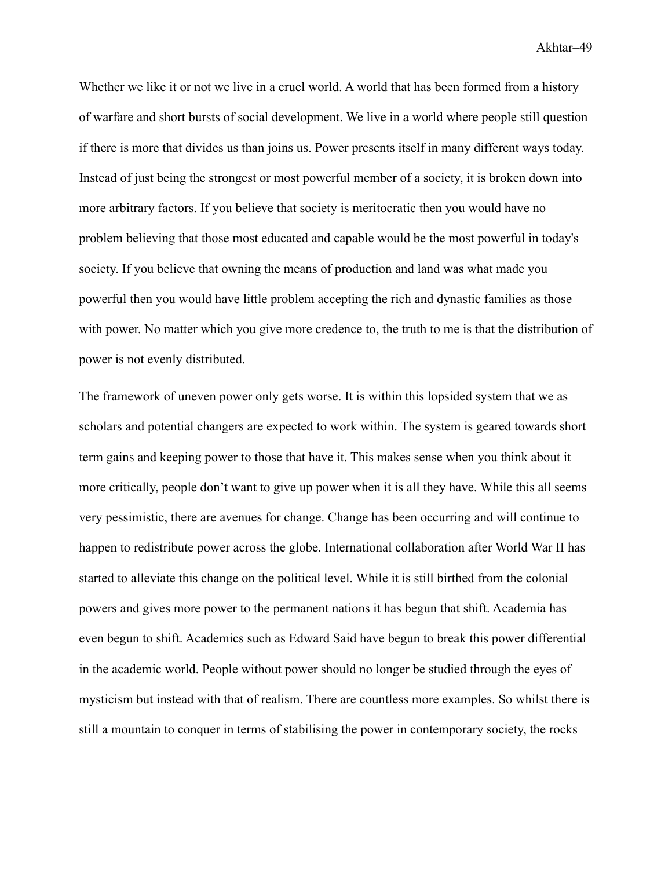Whether we like it or not we live in a cruel world. A world that has been formed from a history of warfare and short bursts of social development. We live in a world where people still question if there is more that divides us than joins us. Power presents itself in many different ways today. Instead of just being the strongest or most powerful member of a society, it is broken down into more arbitrary factors. If you believe that society is meritocratic then you would have no problem believing that those most educated and capable would be the most powerful in today's society. If you believe that owning the means of production and land was what made you powerful then you would have little problem accepting the rich and dynastic families as those with power. No matter which you give more credence to, the truth to me is that the distribution of power is not evenly distributed.

The framework of uneven power only gets worse. It is within this lopsided system that we as scholars and potential changers are expected to work within. The system is geared towards short term gains and keeping power to those that have it. This makes sense when you think about it more critically, people don't want to give up power when it is all they have. While this all seems very pessimistic, there are avenues for change. Change has been occurring and will continue to happen to redistribute power across the globe. International collaboration after World War II has started to alleviate this change on the political level. While it is still birthed from the colonial powers and gives more power to the permanent nations it has begun that shift. Academia has even begun to shift. Academics such as Edward Said have begun to break this power differential in the academic world. People without power should no longer be studied through the eyes of mysticism but instead with that of realism. There are countless more examples. So whilst there is still a mountain to conquer in terms of stabilising the power in contemporary society, the rocks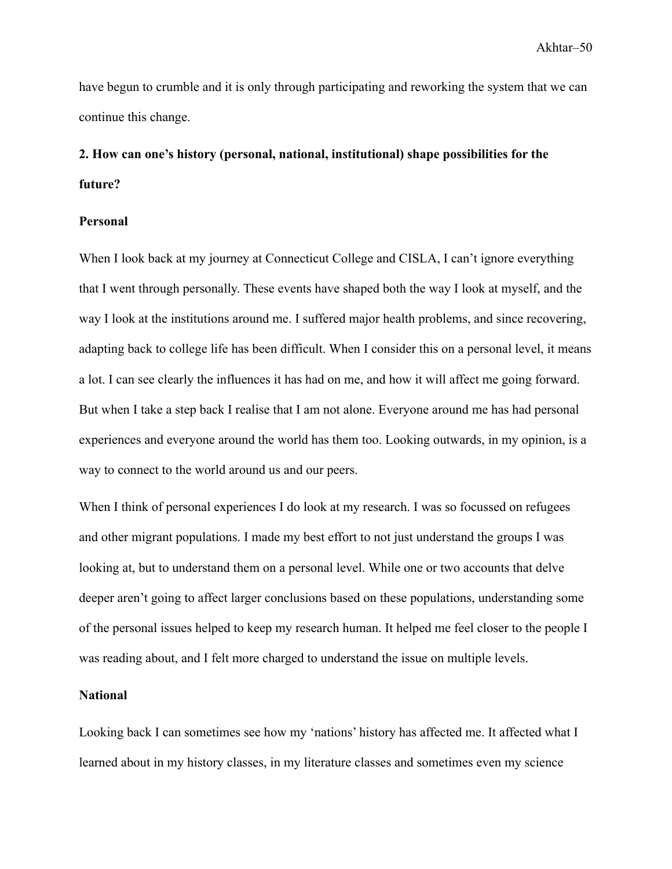have begun to crumble and it is only through participating and reworking the system that we can continue this change.

# **2. How can one's history (personal, national, institutional) shape possibilities for the future?**

#### **Personal**

When I look back at my journey at Connecticut College and CISLA, I can't ignore everything that I went through personally. These events have shaped both the way I look at myself, and the way I look at the institutions around me. I suffered major health problems, and since recovering, adapting back to college life has been difficult. When I consider this on a personal level, it means a lot. I can see clearly the influences it has had on me, and how it will affect me going forward. But when I take a step back I realise that I am not alone. Everyone around me has had personal experiences and everyone around the world has them too. Looking outwards, in my opinion, is a way to connect to the world around us and our peers.

When I think of personal experiences I do look at my research. I was so focussed on refugees and other migrant populations. I made my best effort to not just understand the groups I was looking at, but to understand them on a personal level. While one or two accounts that delve deeper aren't going to affect larger conclusions based on these populations, understanding some of the personal issues helped to keep my research human. It helped me feel closer to the people I was reading about, and I felt more charged to understand the issue on multiple levels.

#### **National**

Looking back I can sometimes see how my 'nations' history has affected me. It affected what I learned about in my history classes, in my literature classes and sometimes even my science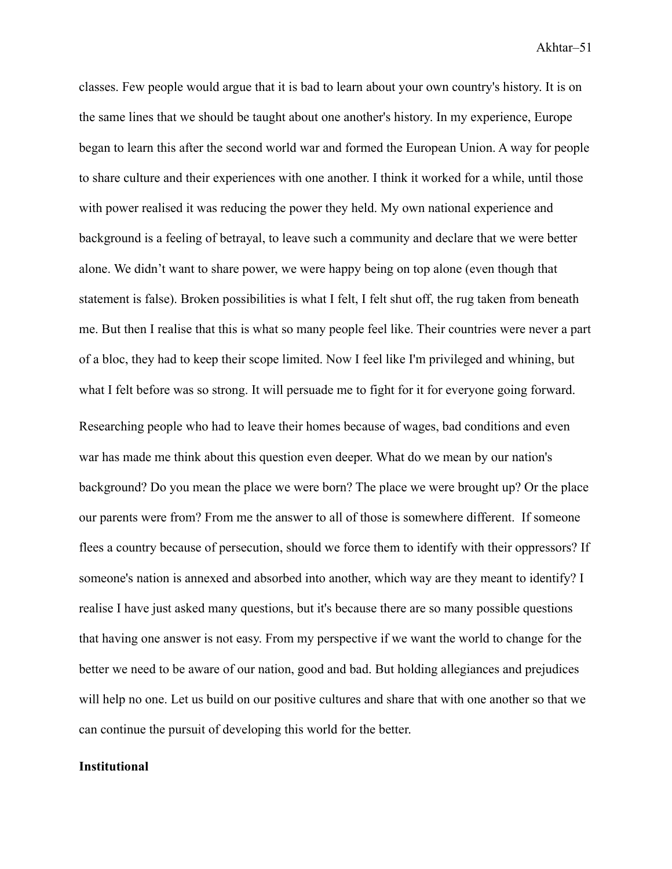classes. Few people would argue that it is bad to learn about your own country's history. It is on the same lines that we should be taught about one another's history. In my experience, Europe began to learn this after the second world war and formed the European Union. A way for people to share culture and their experiences with one another. I think it worked for a while, until those with power realised it was reducing the power they held. My own national experience and background is a feeling of betrayal, to leave such a community and declare that we were better alone. We didn't want to share power, we were happy being on top alone (even though that statement is false). Broken possibilities is what I felt, I felt shut off, the rug taken from beneath me. But then I realise that this is what so many people feel like. Their countries were never a part of a bloc, they had to keep their scope limited. Now I feel like I'm privileged and whining, but what I felt before was so strong. It will persuade me to fight for it for everyone going forward. Researching people who had to leave their homes because of wages, bad conditions and even war has made me think about this question even deeper. What do we mean by our nation's background? Do you mean the place we were born? The place we were brought up? Or the place our parents were from? From me the answer to all of those is somewhere different. If someone flees a country because of persecution, should we force them to identify with their oppressors? If someone's nation is annexed and absorbed into another, which way are they meant to identify? I realise I have just asked many questions, but it's because there are so many possible questions that having one answer is not easy. From my perspective if we want the world to change for the better we need to be aware of our nation, good and bad. But holding allegiances and prejudices will help no one. Let us build on our positive cultures and share that with one another so that we can continue the pursuit of developing this world for the better.

#### **Institutional**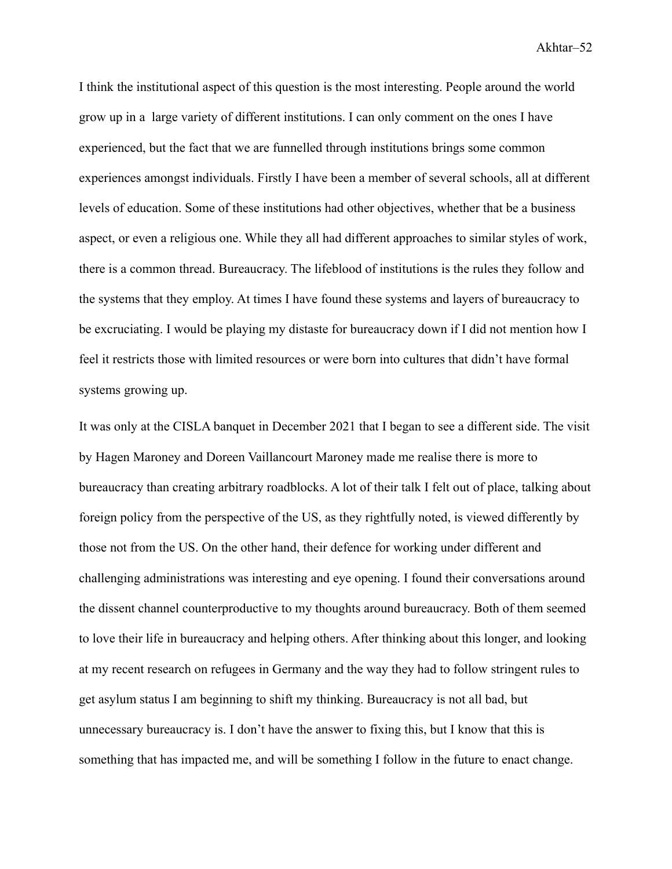I think the institutional aspect of this question is the most interesting. People around the world grow up in a large variety of different institutions. I can only comment on the ones I have experienced, but the fact that we are funnelled through institutions brings some common experiences amongst individuals. Firstly I have been a member of several schools, all at different levels of education. Some of these institutions had other objectives, whether that be a business aspect, or even a religious one. While they all had different approaches to similar styles of work, there is a common thread. Bureaucracy. The lifeblood of institutions is the rules they follow and the systems that they employ. At times I have found these systems and layers of bureaucracy to be excruciating. I would be playing my distaste for bureaucracy down if I did not mention how I feel it restricts those with limited resources or were born into cultures that didn't have formal systems growing up.

It was only at the CISLA banquet in December 2021 that I began to see a different side. The visit by Hagen Maroney and Doreen Vaillancourt Maroney made me realise there is more to bureaucracy than creating arbitrary roadblocks. A lot of their talk I felt out of place, talking about foreign policy from the perspective of the US, as they rightfully noted, is viewed differently by those not from the US. On the other hand, their defence for working under different and challenging administrations was interesting and eye opening. I found their conversations around the dissent channel counterproductive to my thoughts around bureaucracy. Both of them seemed to love their life in bureaucracy and helping others. After thinking about this longer, and looking at my recent research on refugees in Germany and the way they had to follow stringent rules to get asylum status I am beginning to shift my thinking. Bureaucracy is not all bad, but unnecessary bureaucracy is. I don't have the answer to fixing this, but I know that this is something that has impacted me, and will be something I follow in the future to enact change.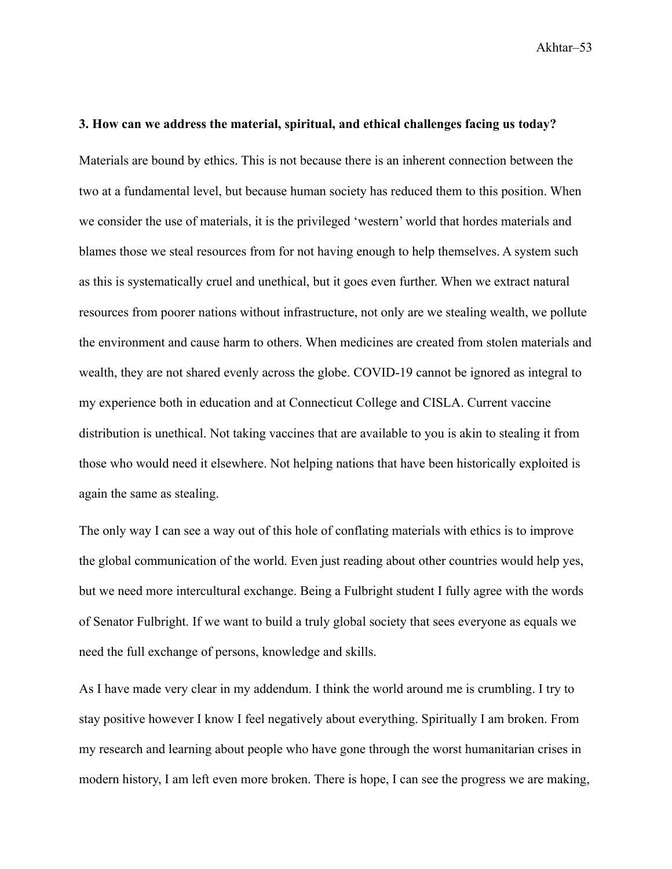#### **3. How can we address the material, spiritual, and ethical challenges facing us today?**

Materials are bound by ethics. This is not because there is an inherent connection between the two at a fundamental level, but because human society has reduced them to this position. When we consider the use of materials, it is the privileged 'western' world that hordes materials and blames those we steal resources from for not having enough to help themselves. A system such as this is systematically cruel and unethical, but it goes even further. When we extract natural resources from poorer nations without infrastructure, not only are we stealing wealth, we pollute the environment and cause harm to others. When medicines are created from stolen materials and wealth, they are not shared evenly across the globe. COVID-19 cannot be ignored as integral to my experience both in education and at Connecticut College and CISLA. Current vaccine distribution is unethical. Not taking vaccines that are available to you is akin to stealing it from those who would need it elsewhere. Not helping nations that have been historically exploited is again the same as stealing.

The only way I can see a way out of this hole of conflating materials with ethics is to improve the global communication of the world. Even just reading about other countries would help yes, but we need more intercultural exchange. Being a Fulbright student I fully agree with the words of Senator Fulbright. If we want to build a truly global society that sees everyone as equals we need the full exchange of persons, knowledge and skills.

As I have made very clear in my addendum. I think the world around me is crumbling. I try to stay positive however I know I feel negatively about everything. Spiritually I am broken. From my research and learning about people who have gone through the worst humanitarian crises in modern history, I am left even more broken. There is hope, I can see the progress we are making,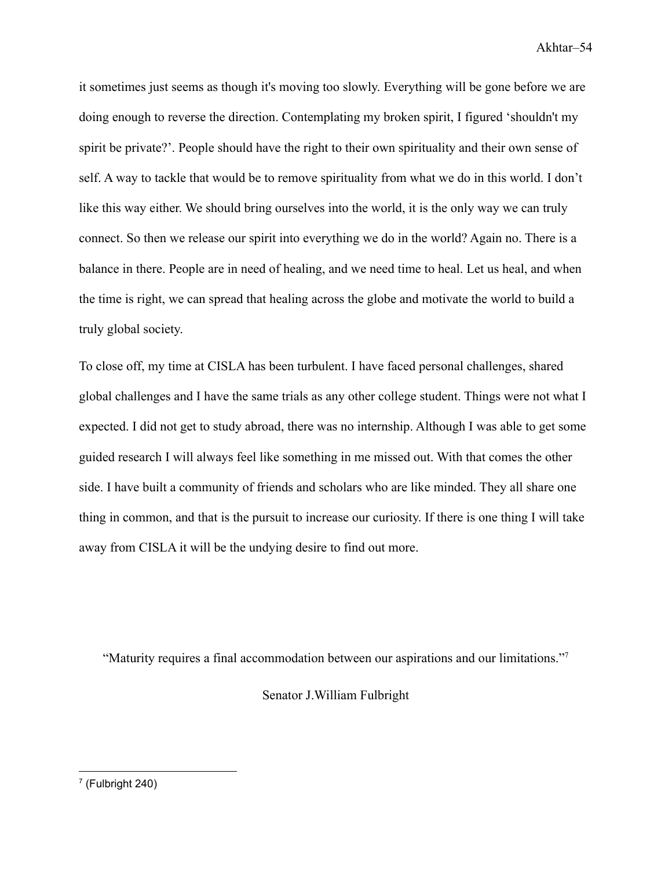it sometimes just seems as though it's moving too slowly. Everything will be gone before we are doing enough to reverse the direction. Contemplating my broken spirit, I figured 'shouldn't my spirit be private?'. People should have the right to their own spirituality and their own sense of self. A way to tackle that would be to remove spirituality from what we do in this world. I don't like this way either. We should bring ourselves into the world, it is the only way we can truly connect. So then we release our spirit into everything we do in the world? Again no. There is a balance in there. People are in need of healing, and we need time to heal. Let us heal, and when the time is right, we can spread that healing across the globe and motivate the world to build a truly global society.

To close off, my time at CISLA has been turbulent. I have faced personal challenges, shared global challenges and I have the same trials as any other college student. Things were not what I expected. I did not get to study abroad, there was no internship. Although I was able to get some guided research I will always feel like something in me missed out. With that comes the other side. I have built a community of friends and scholars who are like minded. They all share one thing in common, and that is the pursuit to increase our curiosity. If there is one thing I will take away from CISLA it will be the undying desire to find out more.

"Maturity requires a final accommodation between our aspirations and our limitations."<sup>7</sup>

Senator J.William Fulbright

<sup>7</sup> (Fulbright 240)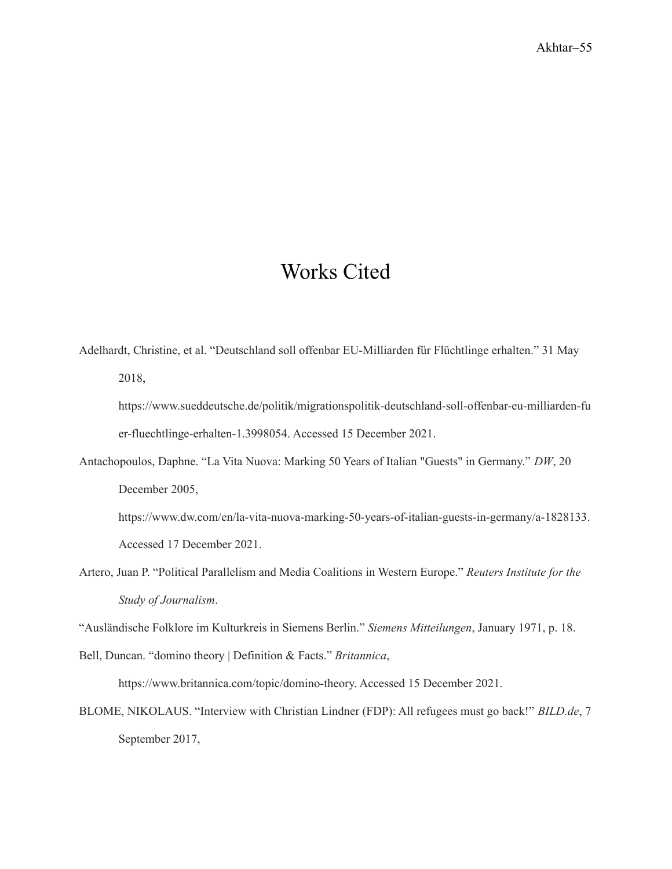# Works Cited

- <span id="page-55-0"></span>Adelhardt, Christine, et al. "Deutschland soll offenbar EU-Milliarden für Flüchtlinge erhalten." 31 May 2018,
	- https://www.sueddeutsche.de/politik/migrationspolitik-deutschland-soll-offenbar-eu-milliarden-fu er-fluechtlinge-erhalten-1.3998054. Accessed 15 December 2021.
- Antachopoulos, Daphne. "La Vita Nuova: Marking 50 Years of Italian "Guests" in Germany." *DW*, 20 December 2005,

https://www.dw.com/en/la-vita-nuova-marking-50-years-of-italian-guests-in-germany/a-1828133. Accessed 17 December 2021.

Artero, Juan P. "Political Parallelism and Media Coalitions in Western Europe." *Reuters Institute for the Study of Journalism*.

"Ausländische Folklore im Kulturkreis in Siemens Berlin." *Siemens Mitteilungen*, January 1971, p. 18.

Bell, Duncan. "domino theory | Definition & Facts." *Britannica*, https://www.britannica.com/topic/domino-theory. Accessed 15 December 2021.

BLOME, NIKOLAUS. "Interview with Christian Lindner (FDP): All refugees must go back!" *BILD.de*, 7 September 2017,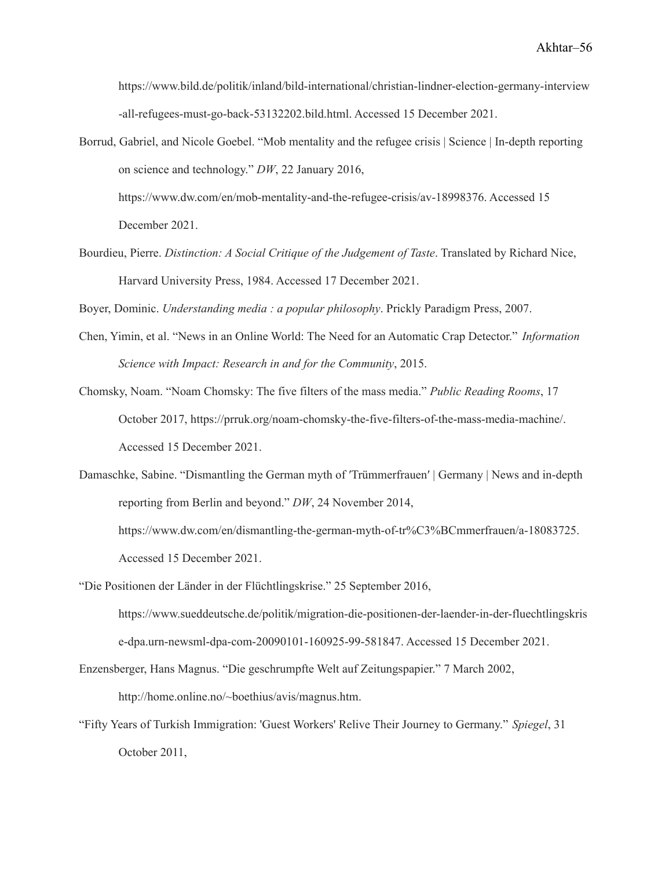https://www.bild.de/politik/inland/bild-international/christian-lindner-election-germany-interview -all-refugees-must-go-back-53132202.bild.html. Accessed 15 December 2021.

Borrud, Gabriel, and Nicole Goebel. "Mob mentality and the refugee crisis | Science | In-depth reporting on science and technology." *DW*, 22 January 2016, https://www.dw.com/en/mob-mentality-and-the-refugee-crisis/av-18998376. Accessed 15 December 2021.

Bourdieu, Pierre. *Distinction: A Social Critique of the Judgement of Taste*. Translated by Richard Nice, Harvard University Press, 1984. Accessed 17 December 2021.

Boyer, Dominic. *Understanding media : a popular philosophy*. Prickly Paradigm Press, 2007.

- Chen, Yimin, et al. "News in an Online World: The Need for an Automatic Crap Detector." *Information Science with Impact: Research in and for the Community*, 2015.
- Chomsky, Noam. "Noam Chomsky: The five filters of the mass media." *Public Reading Rooms*, 17 October 2017, https://prruk.org/noam-chomsky-the-five-filters-of-the-mass-media-machine/. Accessed 15 December 2021.
- Damaschke, Sabine. "Dismantling the German myth of ′Trümmerfrauen′ | Germany | News and in-depth reporting from Berlin and beyond." *DW*, 24 November 2014, https://www.dw.com/en/dismantling-the-german-myth-of-tr%C3%BCmmerfrauen/a-18083725.

Accessed 15 December 2021.

"Die Positionen der Länder in der Flüchtlingskrise." 25 September 2016,

https://www.sueddeutsche.de/politik/migration-die-positionen-der-laender-in-der-fluechtlingskris e-dpa.urn-newsml-dpa-com-20090101-160925-99-581847. Accessed 15 December 2021.

Enzensberger, Hans Magnus. "Die geschrumpfte Welt auf Zeitungspapier." 7 March 2002,

http://home.online.no/~boethius/avis/magnus.htm.

"Fifty Years of Turkish Immigration: 'Guest Workers' Relive Their Journey to Germany." *Spiegel*, 31 October 2011,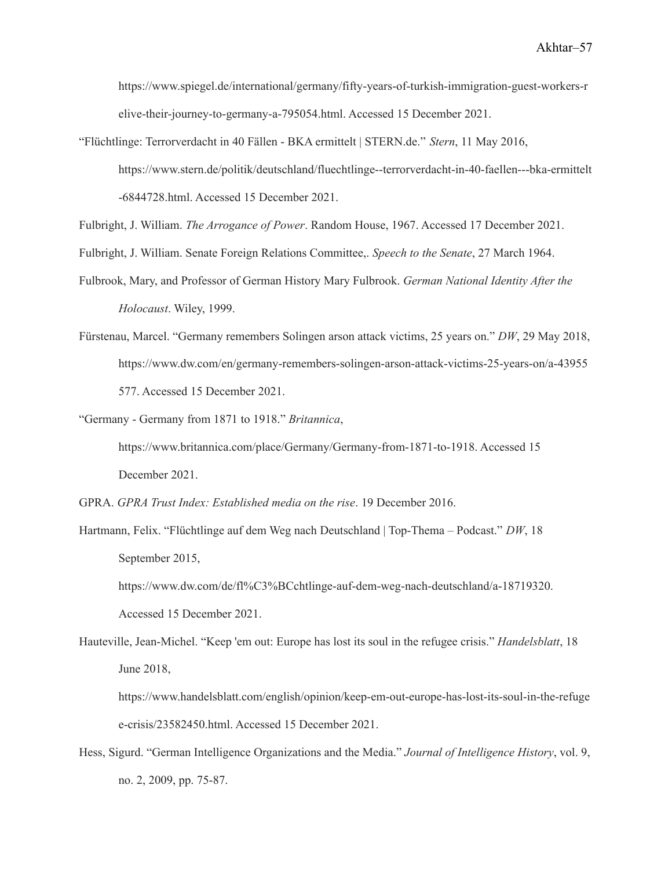https://www.spiegel.de/international/germany/fifty-years-of-turkish-immigration-guest-workers-r elive-their-journey-to-germany-a-795054.html. Accessed 15 December 2021.

"Flüchtlinge: Terrorverdacht in 40 Fällen - BKA ermittelt | STERN.de." *Stern*, 11 May 2016, https://www.stern.de/politik/deutschland/fluechtlinge--terrorverdacht-in-40-faellen---bka-ermittelt -6844728.html. Accessed 15 December 2021.

Fulbright, J. William. *The Arrogance of Power*. Random House, 1967. Accessed 17 December 2021.

- Fulbright, J. William. Senate Foreign Relations Committee,. *Speech to the Senate*, 27 March 1964.
- Fulbrook, Mary, and Professor of German History Mary Fulbrook. *German National Identity After the Holocaust*. Wiley, 1999.
- Fürstenau, Marcel. "Germany remembers Solingen arson attack victims, 25 years on." *DW*, 29 May 2018, https://www.dw.com/en/germany-remembers-solingen-arson-attack-victims-25-years-on/a-43955 577. Accessed 15 December 2021.
- "Germany Germany from 1871 to 1918." *Britannica*, https://www.britannica.com/place/Germany/Germany-from-1871-to-1918. Accessed 15 December 2021.
- GPRA. *GPRA Trust Index: Established media on the rise*. 19 December 2016.
- Hartmann, Felix. "Flüchtlinge auf dem Weg nach Deutschland | Top-Thema Podcast." *DW*, 18 September 2015,

https://www.dw.com/de/fl%C3%BCchtlinge-auf-dem-weg-nach-deutschland/a-18719320. Accessed 15 December 2021.

Hauteville, Jean-Michel. "Keep 'em out: Europe has lost its soul in the refugee crisis." *Handelsblatt*, 18 June 2018,

https://www.handelsblatt.com/english/opinion/keep-em-out-europe-has-lost-its-soul-in-the-refuge e-crisis/23582450.html. Accessed 15 December 2021.

Hess, Sigurd. "German Intelligence Organizations and the Media." *Journal of Intelligence History*, vol. 9, no. 2, 2009, pp. 75-87.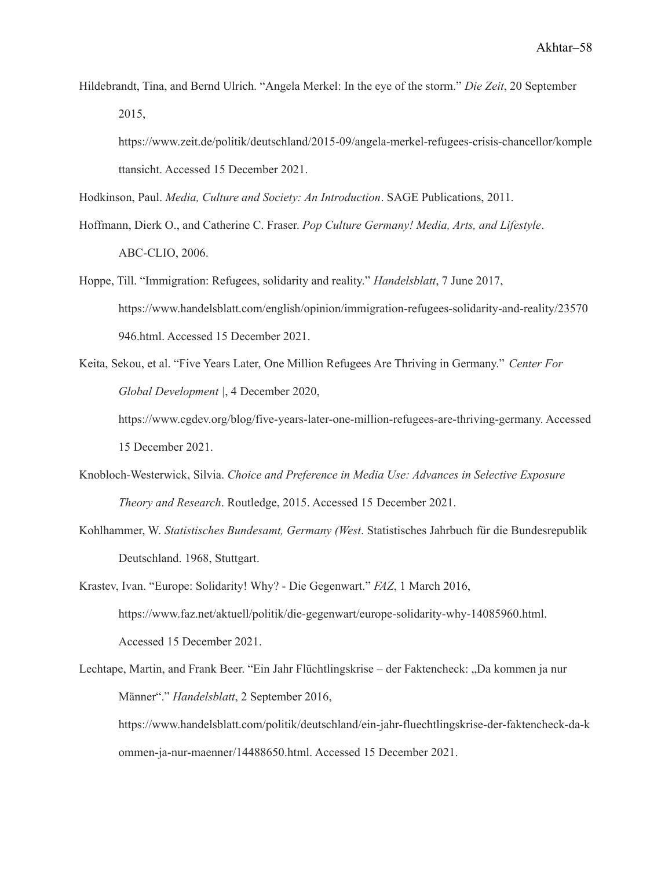Hildebrandt, Tina, and Bernd Ulrich. "Angela Merkel: In the eye of the storm." *Die Zeit*, 20 September 2015,

https://www.zeit.de/politik/deutschland/2015-09/angela-merkel-refugees-crisis-chancellor/komple ttansicht. Accessed 15 December 2021.

Hodkinson, Paul. *Media, Culture and Society: An Introduction*. SAGE Publications, 2011.

Hoffmann, Dierk O., and Catherine C. Fraser. *Pop Culture Germany! Media, Arts, and Lifestyle*. ABC-CLIO, 2006.

- Hoppe, Till. "Immigration: Refugees, solidarity and reality." *Handelsblatt*, 7 June 2017, https://www.handelsblatt.com/english/opinion/immigration-refugees-solidarity-and-reality/23570 946.html. Accessed 15 December 2021.
- Keita, Sekou, et al. "Five Years Later, One Million Refugees Are Thriving in Germany." *Center For Global Development |*, 4 December 2020, https://www.cgdev.org/blog/five-years-later-one-million-refugees-are-thriving-germany. Accessed 15 December 2021.
- Knobloch-Westerwick, Silvia. *Choice and Preference in Media Use: Advances in Selective Exposure Theory and Research*. Routledge, 2015. Accessed 15 December 2021.
- Kohlhammer, W. *Statistisches Bundesamt, Germany (West*. Statistisches Jahrbuch für die Bundesrepublik Deutschland. 1968, Stuttgart.
- Krastev, Ivan. "Europe: Solidarity! Why? Die Gegenwart." *FAZ*, 1 March 2016, https://www.faz.net/aktuell/politik/die-gegenwart/europe-solidarity-why-14085960.html. Accessed 15 December 2021.
- Lechtape, Martin, and Frank Beer. "Ein Jahr Flüchtlingskrise der Faktencheck: "Da kommen ja nur Männer"." *Handelsblatt*, 2 September 2016,

https://www.handelsblatt.com/politik/deutschland/ein-jahr-fluechtlingskrise-der-faktencheck-da-k ommen-ja-nur-maenner/14488650.html. Accessed 15 December 2021.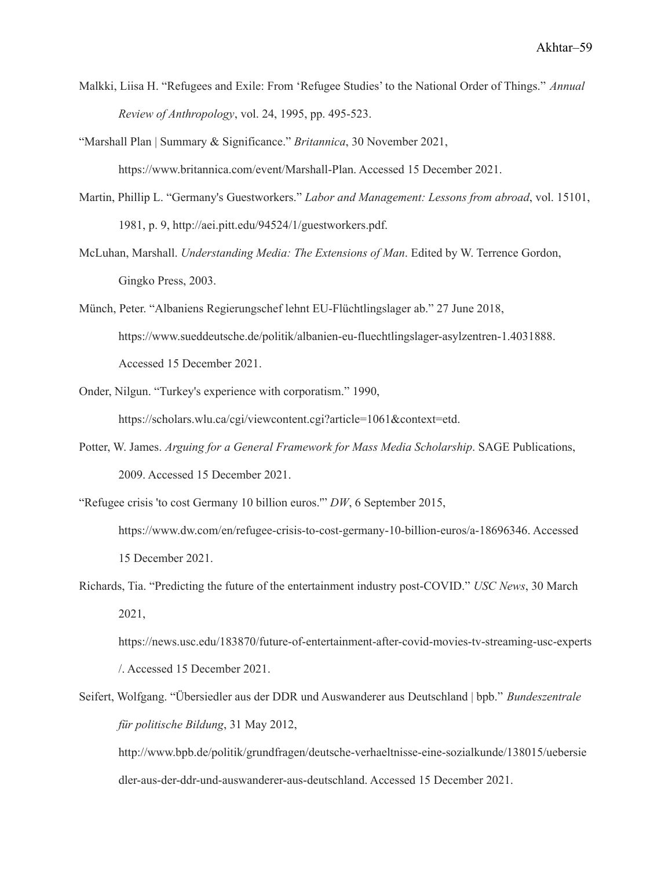- Malkki, Liisa H. "Refugees and Exile: From 'Refugee Studies' to the National Order of Things." *Annual Review of Anthropology*, vol. 24, 1995, pp. 495-523.
- "Marshall Plan | Summary & Significance." *Britannica*, 30 November 2021, https://www.britannica.com/event/Marshall-Plan. Accessed 15 December 2021.
- Martin, Phillip L. "Germany's Guestworkers." *Labor and Management: Lessons from abroad*, vol. 15101, 1981, p. 9, http://aei.pitt.edu/94524/1/guestworkers.pdf.
- McLuhan, Marshall. *Understanding Media: The Extensions of Man*. Edited by W. Terrence Gordon, Gingko Press, 2003.
- Münch, Peter. "Albaniens Regierungschef lehnt EU-Flüchtlingslager ab." 27 June 2018, https://www.sueddeutsche.de/politik/albanien-eu-fluechtlingslager-asylzentren-1.4031888. Accessed 15 December 2021.
- Onder, Nilgun. "Turkey's experience with corporatism." 1990, https://scholars.wlu.ca/cgi/viewcontent.cgi?article=1061&context=etd.
- Potter, W. James. *Arguing for a General Framework for Mass Media Scholarship*. SAGE Publications, 2009. Accessed 15 December 2021.
- "Refugee crisis 'to cost Germany 10 billion euros.'" *DW*, 6 September 2015, https://www.dw.com/en/refugee-crisis-to-cost-germany-10-billion-euros/a-18696346. Accessed 15 December 2021.
- Richards, Tia. "Predicting the future of the entertainment industry post-COVID." *USC News*, 30 March 2021,

https://news.usc.edu/183870/future-of-entertainment-after-covid-movies-tv-streaming-usc-experts /. Accessed 15 December 2021.

Seifert, Wolfgang. "Übersiedler aus der DDR und Auswanderer aus Deutschland | bpb." *Bundeszentrale für politische Bildung*, 31 May 2012,

http://www.bpb.de/politik/grundfragen/deutsche-verhaeltnisse-eine-sozialkunde/138015/uebersie dler-aus-der-ddr-und-auswanderer-aus-deutschland. Accessed 15 December 2021.